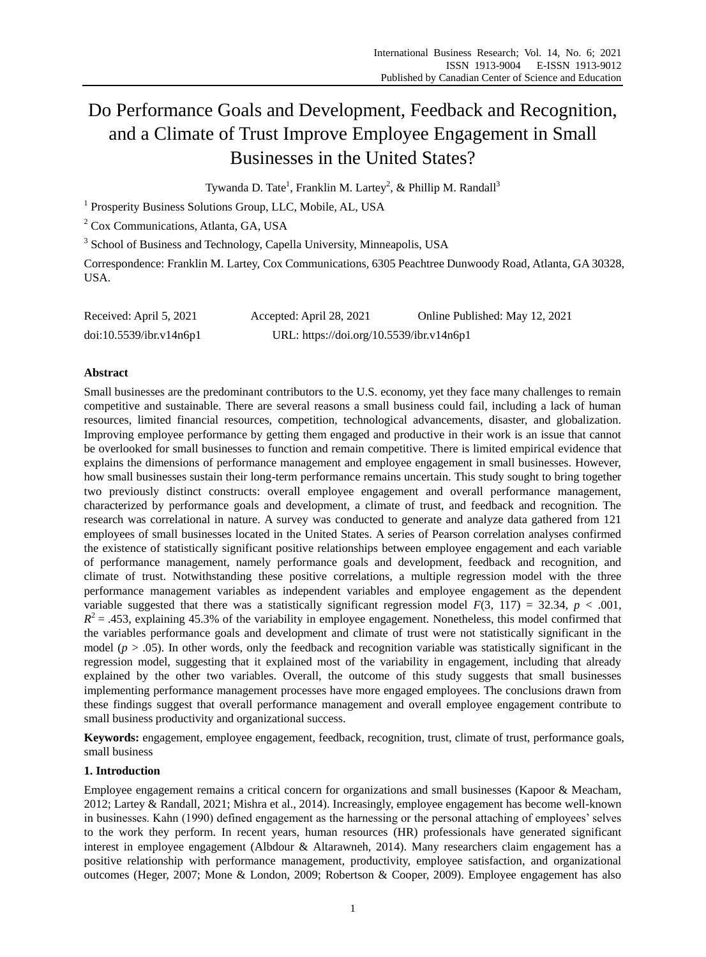# Do Performance Goals and Development, Feedback and Recognition, and a Climate of Trust Improve Employee Engagement in Small Businesses in the United States?

Tywanda D. Tate<sup>1</sup>, Franklin M. Lartey<sup>2</sup>, & Phillip M. Randall<sup>3</sup>

<sup>1</sup> Prosperity Business Solutions Group, LLC, Mobile, AL, USA

<sup>2</sup> Cox Communications, Atlanta, GA, USA

<sup>3</sup> School of Business and Technology, Capella University, Minneapolis, USA

Correspondence: Franklin M. Lartey, Cox Communications, 6305 Peachtree Dunwoody Road, Atlanta, GA 30328, USA.

| Received: April 5, 2021 | Accepted: April 28, 2021                 | Online Published: May 12, 2021 |
|-------------------------|------------------------------------------|--------------------------------|
| doi:10.5539/ibr.v14n6p1 | URL: https://doi.org/10.5539/ibr.v14n6p1 |                                |

# **Abstract**

Small businesses are the predominant contributors to the U.S. economy, yet they face many challenges to remain competitive and sustainable. There are several reasons a small business could fail, including a lack of human resources, limited financial resources, competition, technological advancements, disaster, and globalization. Improving employee performance by getting them engaged and productive in their work is an issue that cannot be overlooked for small businesses to function and remain competitive. There is limited empirical evidence that explains the dimensions of performance management and employee engagement in small businesses. However, how small businesses sustain their long-term performance remains uncertain. This study sought to bring together two previously distinct constructs: overall employee engagement and overall performance management, characterized by performance goals and development, a climate of trust, and feedback and recognition. The research was correlational in nature. A survey was conducted to generate and analyze data gathered from 121 employees of small businesses located in the United States. A series of Pearson correlation analyses confirmed the existence of statistically significant positive relationships between employee engagement and each variable of performance management, namely performance goals and development, feedback and recognition, and climate of trust. Notwithstanding these positive correlations, a multiple regression model with the three performance management variables as independent variables and employee engagement as the dependent variable suggested that there was a statistically significant regression model  $F(3, 117) = 32.34$ ,  $p < .001$ ,  $R<sup>2</sup> = .453$ , explaining 45.3% of the variability in employee engagement. Nonetheless, this model confirmed that the variables performance goals and development and climate of trust were not statistically significant in the model ( $p > .05$ ). In other words, only the feedback and recognition variable was statistically significant in the regression model, suggesting that it explained most of the variability in engagement, including that already explained by the other two variables. Overall, the outcome of this study suggests that small businesses implementing performance management processes have more engaged employees. The conclusions drawn from these findings suggest that overall performance management and overall employee engagement contribute to small business productivity and organizational success.

**Keywords:** engagement, employee engagement, feedback, recognition, trust, climate of trust, performance goals, small business

# **1. Introduction**

Employee engagement remains a critical concern for organizations and small businesses (Kapoor & Meacham, 2012; Lartey & Randall, 2021; Mishra et al., 2014). Increasingly, employee engagement has become well-known in businesses. Kahn (1990) defined engagement as the harnessing or the personal attaching of employees' selves to the work they perform. In recent years, human resources (HR) professionals have generated significant interest in employee engagement (Albdour & Altarawneh, 2014). Many researchers claim engagement has a positive relationship with performance management, productivity, employee satisfaction, and organizational outcomes (Heger, 2007; Mone & London, 2009; Robertson & Cooper, 2009). Employee engagement has also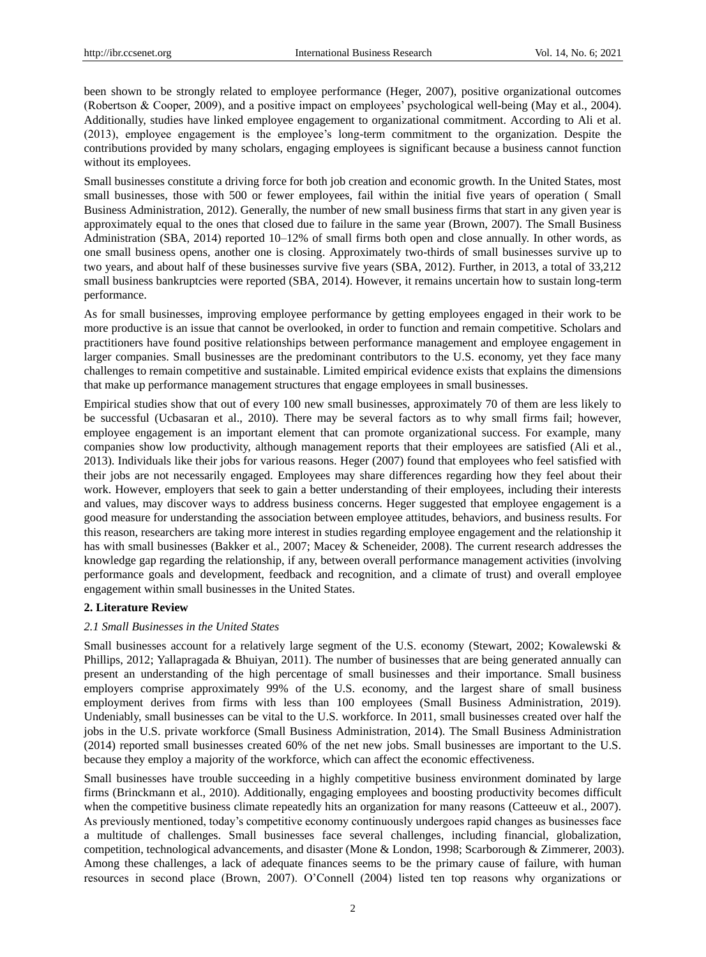been shown to be strongly related to employee performance (Heger, 2007), positive organizational outcomes (Robertson & Cooper, 2009), and a positive impact on employees' psychological well-being (May et al., 2004). Additionally, studies have linked employee engagement to organizational commitment. According to Ali et al. (2013), employee engagement is the employee's long-term commitment to the organization. Despite the contributions provided by many scholars, engaging employees is significant because a business cannot function without its employees.

Small businesses constitute a driving force for both job creation and economic growth. In the United States, most small businesses, those with 500 or fewer employees, fail within the initial five years of operation ( Small Business Administration, 2012). Generally, the number of new small business firms that start in any given year is approximately equal to the ones that closed due to failure in the same year (Brown, 2007). The Small Business Administration (SBA, 2014) reported 10–12% of small firms both open and close annually. In other words, as one small business opens, another one is closing. Approximately two-thirds of small businesses survive up to two years, and about half of these businesses survive five years (SBA, 2012). Further, in 2013, a total of 33,212 small business bankruptcies were reported (SBA, 2014). However, it remains uncertain how to sustain long-term performance.

As for small businesses, improving employee performance by getting employees engaged in their work to be more productive is an issue that cannot be overlooked, in order to function and remain competitive. Scholars and practitioners have found positive relationships between performance management and employee engagement in larger companies. Small businesses are the predominant contributors to the U.S. economy, yet they face many challenges to remain competitive and sustainable. Limited empirical evidence exists that explains the dimensions that make up performance management structures that engage employees in small businesses.

Empirical studies show that out of every 100 new small businesses, approximately 70 of them are less likely to be successful (Ucbasaran et al., 2010). There may be several factors as to why small firms fail; however, employee engagement is an important element that can promote organizational success. For example, many companies show low productivity, although management reports that their employees are satisfied (Ali et al., 2013). Individuals like their jobs for various reasons. Heger (2007) found that employees who feel satisfied with their jobs are not necessarily engaged. Employees may share differences regarding how they feel about their work. However, employers that seek to gain a better understanding of their employees, including their interests and values, may discover ways to address business concerns. Heger suggested that employee engagement is a good measure for understanding the association between employee attitudes, behaviors, and business results. For this reason, researchers are taking more interest in studies regarding employee engagement and the relationship it has with small businesses (Bakker et al., 2007; Macey & Scheneider, 2008). The current research addresses the knowledge gap regarding the relationship, if any, between overall performance management activities (involving performance goals and development, feedback and recognition, and a climate of trust) and overall employee engagement within small businesses in the United States.

# **2. Literature Review**

# *2.1 Small Businesses in the United States*

Small businesses account for a relatively large segment of the U.S. economy (Stewart, 2002; Kowalewski & Phillips, 2012; Yallapragada & Bhuiyan, 2011). The number of businesses that are being generated annually can present an understanding of the high percentage of small businesses and their importance. Small business employers comprise approximately 99% of the U.S. economy, and the largest share of small business employment derives from firms with less than 100 employees (Small Business Administration, 2019). Undeniably, small businesses can be vital to the U.S. workforce. In 2011, small businesses created over half the jobs in the U.S. private workforce (Small Business Administration, 2014). The Small Business Administration (2014) reported small businesses created 60% of the net new jobs. Small businesses are important to the U.S. because they employ a majority of the workforce, which can affect the economic effectiveness.

Small businesses have trouble succeeding in a highly competitive business environment dominated by large firms (Brinckmann et al., 2010). Additionally, engaging employees and boosting productivity becomes difficult when the competitive business climate repeatedly hits an organization for many reasons (Catteeuw et al., 2007). As previously mentioned, today's competitive economy continuously undergoes rapid changes as businesses face a multitude of challenges. Small businesses face several challenges, including financial, globalization, competition, technological advancements, and disaster (Mone & London, 1998; Scarborough & Zimmerer, 2003). Among these challenges, a lack of adequate finances seems to be the primary cause of failure, with human resources in second place (Brown, 2007). O'Connell (2004) listed ten top reasons why organizations or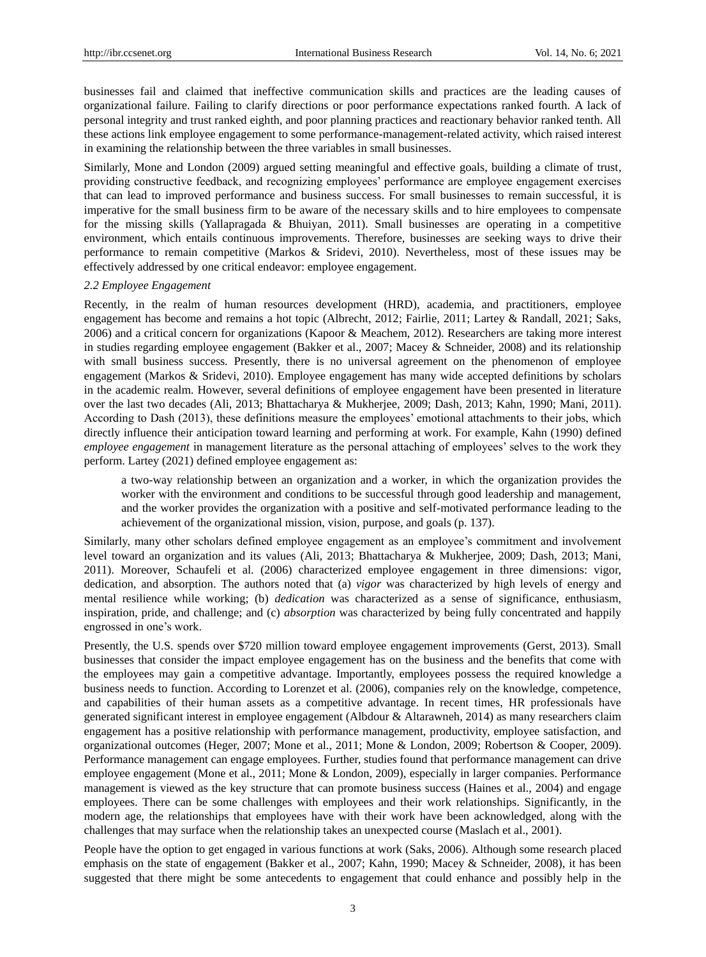businesses fail and claimed that ineffective communication skills and practices are the leading causes of organizational failure. Failing to clarify directions or poor performance expectations ranked fourth. A lack of personal integrity and trust ranked eighth, and poor planning practices and reactionary behavior ranked tenth. All these actions link employee engagement to some performance-management-related activity, which raised interest in examining the relationship between the three variables in small businesses.

Similarly, Mone and London (2009) argued setting meaningful and effective goals, building a climate of trust, providing constructive feedback, and recognizing employees' performance are employee engagement exercises that can lead to improved performance and business success. For small businesses to remain successful, it is imperative for the small business firm to be aware of the necessary skills and to hire employees to compensate for the missing skills (Yallapragada & Bhuiyan, 2011). Small businesses are operating in a competitive environment, which entails continuous improvements. Therefore, businesses are seeking ways to drive their performance to remain competitive (Markos & Sridevi, 2010). Nevertheless, most of these issues may be effectively addressed by one critical endeavor: employee engagement.

#### *2.2 Employee Engagement*

Recently, in the realm of human resources development (HRD), academia, and practitioners, employee engagement has become and remains a hot topic (Albrecht, 2012; Fairlie, 2011; Lartey & Randall, 2021; Saks, 2006) and a critical concern for organizations (Kapoor & Meachem, 2012). Researchers are taking more interest in studies regarding employee engagement (Bakker et al., 2007; Macey & Schneider, 2008) and its relationship with small business success. Presently, there is no universal agreement on the phenomenon of employee engagement (Markos & Sridevi, 2010). Employee engagement has many wide accepted definitions by scholars in the academic realm. However, several definitions of employee engagement have been presented in literature over the last two decades (Ali, 2013; Bhattacharya & Mukherjee, 2009; Dash, 2013; Kahn, 1990; Mani, 2011). According to Dash (2013), these definitions measure the employees' emotional attachments to their jobs, which directly influence their anticipation toward learning and performing at work. For example, Kahn (1990) defined *employee engagement* in management literature as the personal attaching of employees' selves to the work they perform. Lartey (2021) defined employee engagement as:

a two-way relationship between an organization and a worker, in which the organization provides the worker with the environment and conditions to be successful through good leadership and management, and the worker provides the organization with a positive and self-motivated performance leading to the achievement of the organizational mission, vision, purpose, and goals (p. 137).

Similarly, many other scholars defined employee engagement as an employee's commitment and involvement level toward an organization and its values (Ali, 2013; Bhattacharya & Mukherjee, 2009; Dash, 2013; Mani, 2011). Moreover, Schaufeli et al. (2006) characterized employee engagement in three dimensions: vigor, dedication, and absorption. The authors noted that (a) *vigor* was characterized by high levels of energy and mental resilience while working; (b) *dedication* was characterized as a sense of significance, enthusiasm, inspiration, pride, and challenge; and (c) *absorption* was characterized by being fully concentrated and happily engrossed in one's work.

Presently, the U.S. spends over \$720 million toward employee engagement improvements (Gerst, 2013). Small businesses that consider the impact employee engagement has on the business and the benefits that come with the employees may gain a competitive advantage. Importantly, employees possess the required knowledge a business needs to function. According to Lorenzet et al. (2006), companies rely on the knowledge, competence, and capabilities of their human assets as a competitive advantage. In recent times, HR professionals have generated significant interest in employee engagement (Albdour & Altarawneh, 2014) as many researchers claim engagement has a positive relationship with performance management, productivity, employee satisfaction, and organizational outcomes (Heger, 2007; Mone et al., 2011; Mone & London, 2009; Robertson & Cooper, 2009). Performance management can engage employees. Further, studies found that performance management can drive employee engagement (Mone et al., 2011; Mone & London, 2009), especially in larger companies. Performance management is viewed as the key structure that can promote business success (Haines et al., 2004) and engage employees. There can be some challenges with employees and their work relationships. Significantly, in the modern age, the relationships that employees have with their work have been acknowledged, along with the challenges that may surface when the relationship takes an unexpected course (Maslach et al., 2001).

People have the option to get engaged in various functions at work (Saks, 2006). Although some research placed emphasis on the state of engagement (Bakker et al., 2007; Kahn, 1990; Macey & Schneider, 2008), it has been suggested that there might be some antecedents to engagement that could enhance and possibly help in the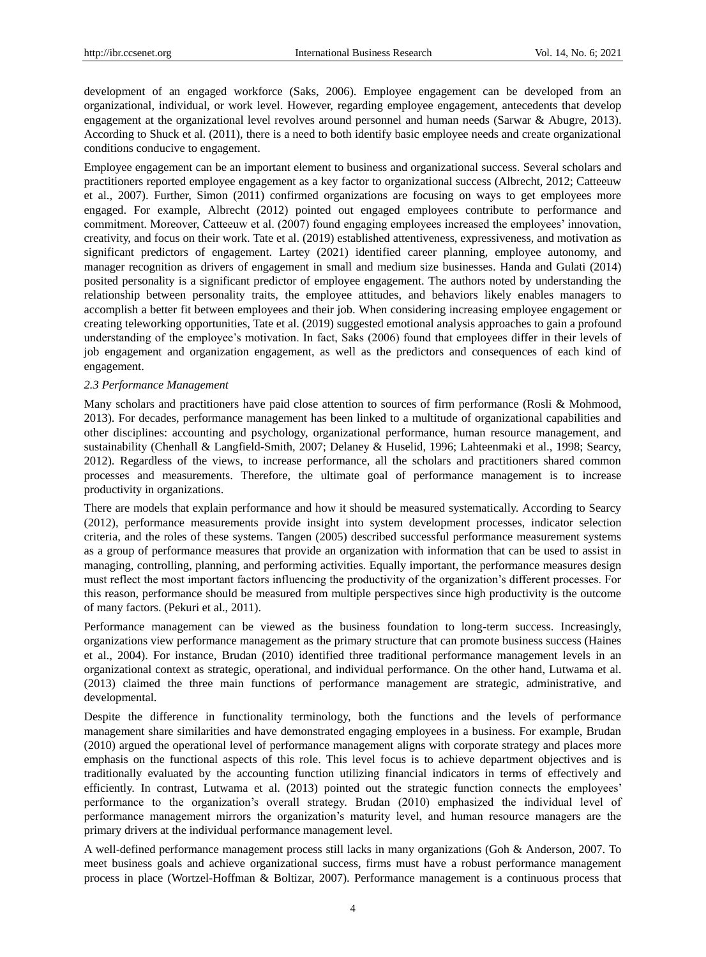development of an engaged workforce (Saks, 2006). Employee engagement can be developed from an organizational, individual, or work level. However, regarding employee engagement, antecedents that develop engagement at the organizational level revolves around personnel and human needs (Sarwar & Abugre, 2013). According to Shuck et al. (2011), there is a need to both identify basic employee needs and create organizational conditions conducive to engagement.

Employee engagement can be an important element to business and organizational success. Several scholars and practitioners reported employee engagement as a key factor to organizational success (Albrecht, 2012; Catteeuw et al., 2007). Further, Simon (2011) confirmed organizations are focusing on ways to get employees more engaged. For example, Albrecht (2012) pointed out engaged employees contribute to performance and commitment. Moreover, Catteeuw et al. (2007) found engaging employees increased the employees' innovation, creativity, and focus on their work. Tate et al. (2019) established attentiveness, expressiveness, and motivation as significant predictors of engagement. Lartey (2021) identified career planning, employee autonomy, and manager recognition as drivers of engagement in small and medium size businesses. Handa and Gulati (2014) posited personality is a significant predictor of employee engagement. The authors noted by understanding the relationship between personality traits, the employee attitudes, and behaviors likely enables managers to accomplish a better fit between employees and their job. When considering increasing employee engagement or creating teleworking opportunities, Tate et al. (2019) suggested emotional analysis approaches to gain a profound understanding of the employee's motivation. In fact, Saks (2006) found that employees differ in their levels of job engagement and organization engagement, as well as the predictors and consequences of each kind of engagement.

#### *2.3 Performance Management*

Many scholars and practitioners have paid close attention to sources of firm performance (Rosli & Mohmood, 2013). For decades, performance management has been linked to a multitude of organizational capabilities and other disciplines: accounting and psychology, organizational performance, human resource management, and sustainability (Chenhall & Langfield-Smith, 2007; Delaney & Huselid, 1996; Lahteenmaki et al., 1998; Searcy, 2012). Regardless of the views, to increase performance, all the scholars and practitioners shared common processes and measurements. Therefore, the ultimate goal of performance management is to increase productivity in organizations.

There are models that explain performance and how it should be measured systematically. According to Searcy (2012), performance measurements provide insight into system development processes, indicator selection criteria, and the roles of these systems. Tangen (2005) described successful performance measurement systems as a group of performance measures that provide an organization with information that can be used to assist in managing, controlling, planning, and performing activities. Equally important, the performance measures design must reflect the most important factors influencing the productivity of the organization's different processes. For this reason, performance should be measured from multiple perspectives since high productivity is the outcome of many factors. (Pekuri et al., 2011).

Performance management can be viewed as the business foundation to long-term success. Increasingly, organizations view performance management as the primary structure that can promote business success (Haines et al., 2004). For instance, Brudan (2010) identified three traditional performance management levels in an organizational context as strategic, operational, and individual performance. On the other hand, Lutwama et al. (2013) claimed the three main functions of performance management are strategic, administrative, and developmental.

Despite the difference in functionality terminology, both the functions and the levels of performance management share similarities and have demonstrated engaging employees in a business. For example, Brudan (2010) argued the operational level of performance management aligns with corporate strategy and places more emphasis on the functional aspects of this role. This level focus is to achieve department objectives and is traditionally evaluated by the accounting function utilizing financial indicators in terms of effectively and efficiently. In contrast, Lutwama et al. (2013) pointed out the strategic function connects the employees' performance to the organization's overall strategy. Brudan (2010) emphasized the individual level of performance management mirrors the organization's maturity level, and human resource managers are the primary drivers at the individual performance management level.

A well-defined performance management process still lacks in many organizations (Goh & Anderson, 2007. To meet business goals and achieve organizational success, firms must have a robust performance management process in place (Wortzel-Hoffman & Boltizar, 2007). Performance management is a continuous process that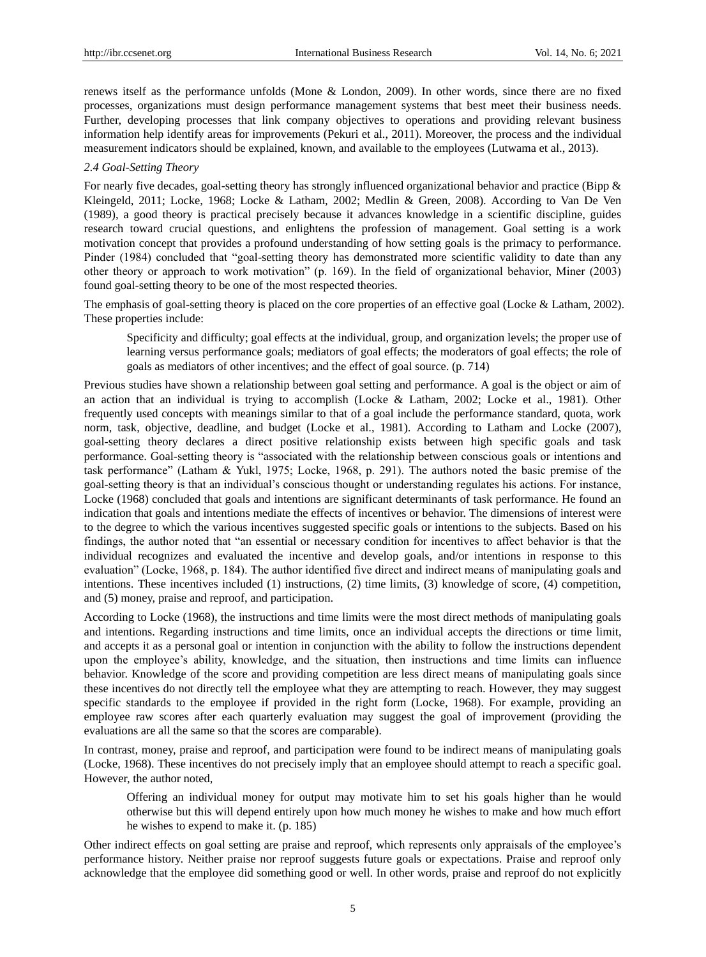renews itself as the performance unfolds (Mone & London, 2009). In other words, since there are no fixed processes, organizations must design performance management systems that best meet their business needs. Further, developing processes that link company objectives to operations and providing relevant business information help identify areas for improvements (Pekuri et al., 2011). Moreover, the process and the individual measurement indicators should be explained, known, and available to the employees (Lutwama et al., 2013).

# *2.4 Goal-Setting Theory*

For nearly five decades, goal-setting theory has strongly influenced organizational behavior and practice (Bipp  $\&$ Kleingeld, 2011; Locke, 1968; Locke & Latham, 2002; Medlin & Green, 2008). According to Van De Ven (1989), a good theory is practical precisely because it advances knowledge in a scientific discipline, guides research toward crucial questions, and enlightens the profession of management. Goal setting is a work motivation concept that provides a profound understanding of how setting goals is the primacy to performance. Pinder (1984) concluded that "goal-setting theory has demonstrated more scientific validity to date than any other theory or approach to work motivation" (p. 169). In the field of organizational behavior, Miner (2003) found goal-setting theory to be one of the most respected theories.

The emphasis of goal-setting theory is placed on the core properties of an effective goal (Locke & Latham, 2002). These properties include:

Specificity and difficulty; goal effects at the individual, group, and organization levels; the proper use of learning versus performance goals; mediators of goal effects; the moderators of goal effects; the role of goals as mediators of other incentives; and the effect of goal source. (p. 714)

Previous studies have shown a relationship between goal setting and performance. A goal is the object or aim of an action that an individual is trying to accomplish (Locke & Latham, 2002; Locke et al., 1981). Other frequently used concepts with meanings similar to that of a goal include the performance standard, quota, work norm, task, objective, deadline, and budget (Locke et al., 1981). According to Latham and Locke (2007), goal-setting theory declares a direct positive relationship exists between high specific goals and task performance. Goal-setting theory is "associated with the relationship between conscious goals or intentions and task performance" (Latham & Yukl, 1975; Locke, 1968, p. 291). The authors noted the basic premise of the goal-setting theory is that an individual's conscious thought or understanding regulates his actions. For instance, Locke (1968) concluded that goals and intentions are significant determinants of task performance. He found an indication that goals and intentions mediate the effects of incentives or behavior. The dimensions of interest were to the degree to which the various incentives suggested specific goals or intentions to the subjects. Based on his findings, the author noted that "an essential or necessary condition for incentives to affect behavior is that the individual recognizes and evaluated the incentive and develop goals, and/or intentions in response to this evaluation" (Locke, 1968, p. 184). The author identified five direct and indirect means of manipulating goals and intentions. These incentives included (1) instructions, (2) time limits, (3) knowledge of score, (4) competition, and (5) money, praise and reproof, and participation.

According to Locke (1968), the instructions and time limits were the most direct methods of manipulating goals and intentions. Regarding instructions and time limits, once an individual accepts the directions or time limit, and accepts it as a personal goal or intention in conjunction with the ability to follow the instructions dependent upon the employee's ability, knowledge, and the situation, then instructions and time limits can influence behavior. Knowledge of the score and providing competition are less direct means of manipulating goals since these incentives do not directly tell the employee what they are attempting to reach. However, they may suggest specific standards to the employee if provided in the right form (Locke, 1968). For example, providing an employee raw scores after each quarterly evaluation may suggest the goal of improvement (providing the evaluations are all the same so that the scores are comparable).

In contrast, money, praise and reproof, and participation were found to be indirect means of manipulating goals (Locke, 1968). These incentives do not precisely imply that an employee should attempt to reach a specific goal. However, the author noted,

Offering an individual money for output may motivate him to set his goals higher than he would otherwise but this will depend entirely upon how much money he wishes to make and how much effort he wishes to expend to make it. (p. 185)

Other indirect effects on goal setting are praise and reproof, which represents only appraisals of the employee's performance history. Neither praise nor reproof suggests future goals or expectations. Praise and reproof only acknowledge that the employee did something good or well. In other words, praise and reproof do not explicitly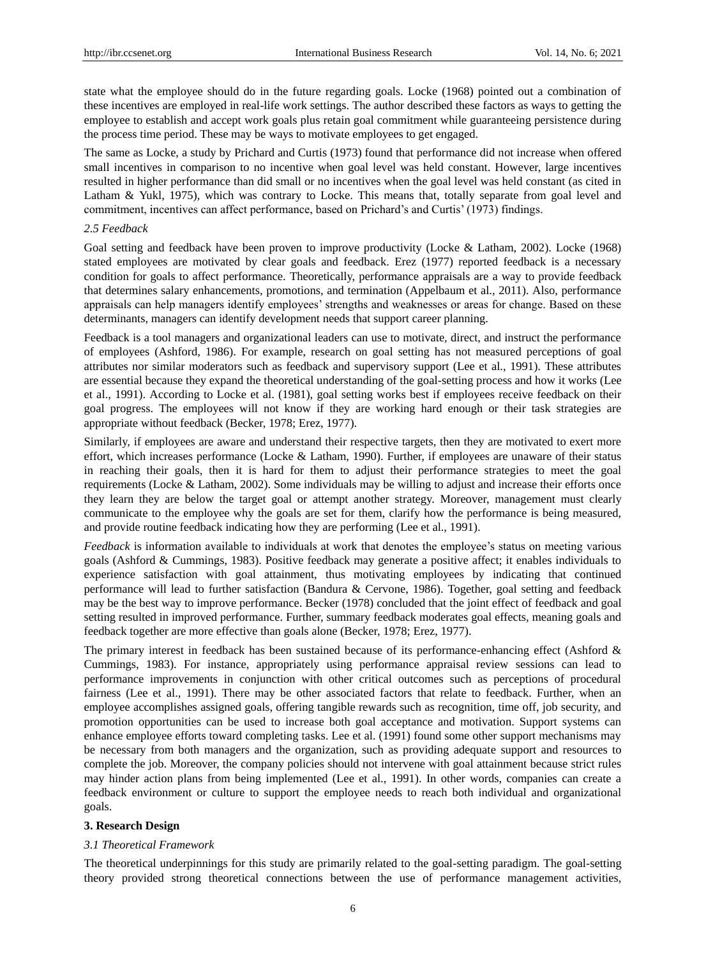state what the employee should do in the future regarding goals. Locke (1968) pointed out a combination of these incentives are employed in real-life work settings. The author described these factors as ways to getting the employee to establish and accept work goals plus retain goal commitment while guaranteeing persistence during the process time period. These may be ways to motivate employees to get engaged.

The same as Locke, a study by Prichard and Curtis (1973) found that performance did not increase when offered small incentives in comparison to no incentive when goal level was held constant. However, large incentives resulted in higher performance than did small or no incentives when the goal level was held constant (as cited in Latham & Yukl, 1975), which was contrary to Locke. This means that, totally separate from goal level and commitment, incentives can affect performance, based on Prichard's and Curtis' (1973) findings.

#### *2.5 Feedback*

Goal setting and feedback have been proven to improve productivity (Locke & Latham, 2002). Locke (1968) stated employees are motivated by clear goals and feedback. Erez (1977) reported feedback is a necessary condition for goals to affect performance. Theoretically, performance appraisals are a way to provide feedback that determines salary enhancements, promotions, and termination (Appelbaum et al., 2011). Also, performance appraisals can help managers identify employees' strengths and weaknesses or areas for change. Based on these determinants, managers can identify development needs that support career planning.

Feedback is a tool managers and organizational leaders can use to motivate, direct, and instruct the performance of employees (Ashford, 1986). For example, research on goal setting has not measured perceptions of goal attributes nor similar moderators such as feedback and supervisory support (Lee et al., 1991). These attributes are essential because they expand the theoretical understanding of the goal-setting process and how it works (Lee et al., 1991). According to Locke et al. (1981), goal setting works best if employees receive feedback on their goal progress. The employees will not know if they are working hard enough or their task strategies are appropriate without feedback (Becker, 1978; Erez, 1977).

Similarly, if employees are aware and understand their respective targets, then they are motivated to exert more effort, which increases performance (Locke & Latham, 1990). Further, if employees are unaware of their status in reaching their goals, then it is hard for them to adjust their performance strategies to meet the goal requirements (Locke & Latham, 2002). Some individuals may be willing to adjust and increase their efforts once they learn they are below the target goal or attempt another strategy. Moreover, management must clearly communicate to the employee why the goals are set for them, clarify how the performance is being measured, and provide routine feedback indicating how they are performing (Lee et al., 1991).

*Feedback* is information available to individuals at work that denotes the employee's status on meeting various goals (Ashford & Cummings, 1983). Positive feedback may generate a positive affect; it enables individuals to experience satisfaction with goal attainment, thus motivating employees by indicating that continued performance will lead to further satisfaction (Bandura & Cervone, 1986). Together, goal setting and feedback may be the best way to improve performance. Becker (1978) concluded that the joint effect of feedback and goal setting resulted in improved performance. Further, summary feedback moderates goal effects, meaning goals and feedback together are more effective than goals alone (Becker, 1978; Erez, 1977).

The primary interest in feedback has been sustained because of its performance-enhancing effect (Ashford & Cummings, 1983). For instance, appropriately using performance appraisal review sessions can lead to performance improvements in conjunction with other critical outcomes such as perceptions of procedural fairness (Lee et al., 1991). There may be other associated factors that relate to feedback. Further, when an employee accomplishes assigned goals, offering tangible rewards such as recognition, time off, job security, and promotion opportunities can be used to increase both goal acceptance and motivation. Support systems can enhance employee efforts toward completing tasks. Lee et al. (1991) found some other support mechanisms may be necessary from both managers and the organization, such as providing adequate support and resources to complete the job. Moreover, the company policies should not intervene with goal attainment because strict rules may hinder action plans from being implemented (Lee et al., 1991). In other words, companies can create a feedback environment or culture to support the employee needs to reach both individual and organizational goals.

#### **3. Research Design**

#### *3.1 Theoretical Framework*

The theoretical underpinnings for this study are primarily related to the goal-setting paradigm. The goal-setting theory provided strong theoretical connections between the use of performance management activities,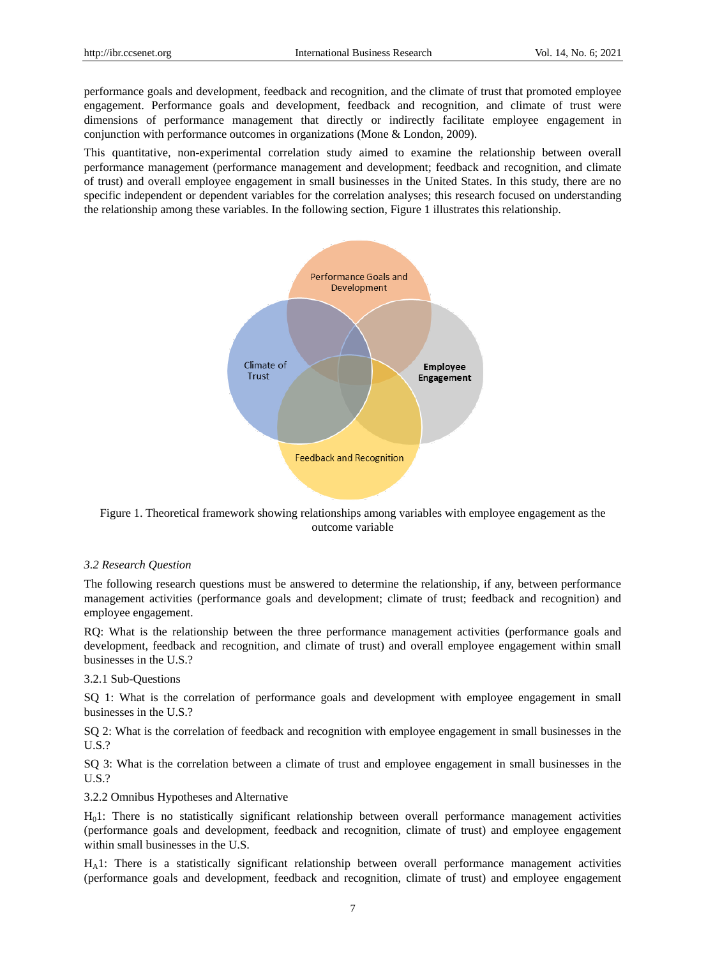performance goals and development, feedback and recognition, and the climate of trust that promoted employee engagement. Performance goals and development, feedback and recognition, and climate of trust were dimensions of performance management that directly or indirectly facilitate employee engagement in conjunction with performance outcomes in organizations (Mone & London, 2009).

This quantitative, non-experimental correlation study aimed to examine the relationship between overall performance management (performance management and development; feedback and recognition, and climate of trust) and overall employee engagement in small businesses in the United States. In this study, there are no specific independent or dependent variables for the correlation analyses; this research focused on understanding the relationship among these variables. In the following section, Figure 1 illustrates this relationship.



Figure 1. Theoretical framework showing relationships among variables with employee engagement as the outcome variable

## *3.2 Research Question*

The following research questions must be answered to determine the relationship, if any, between performance management activities (performance goals and development; climate of trust; feedback and recognition) and employee engagement.

RQ: What is the relationship between the three performance management activities (performance goals and development, feedback and recognition, and climate of trust) and overall employee engagement within small businesses in the U.S.?

# 3.2.1 Sub-Questions

SQ 1: What is the correlation of performance goals and development with employee engagement in small businesses in the U.S.?

SQ 2: What is the correlation of feedback and recognition with employee engagement in small businesses in the U.S.?

SQ 3: What is the correlation between a climate of trust and employee engagement in small businesses in the U.S.?

3.2.2 Omnibus Hypotheses and Alternative

H01: There is no statistically significant relationship between overall performance management activities (performance goals and development, feedback and recognition, climate of trust) and employee engagement within small businesses in the U.S.

HA1: There is a statistically significant relationship between overall performance management activities (performance goals and development, feedback and recognition, climate of trust) and employee engagement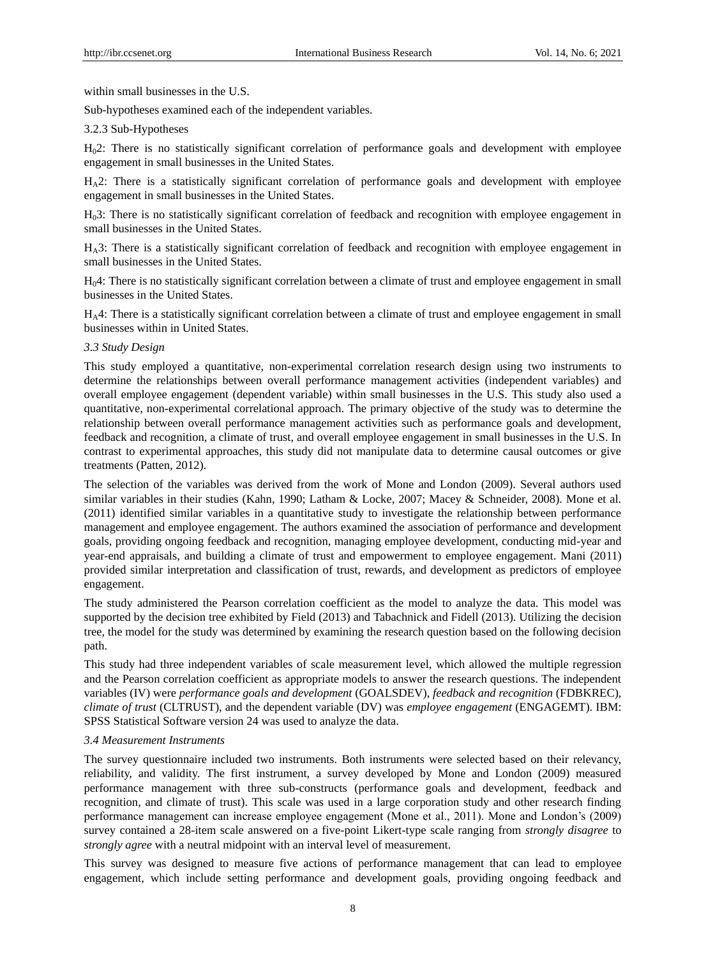within small businesses in the U.S.

Sub-hypotheses examined each of the independent variables.

#### 3.2.3 Sub-Hypotheses

H02: There is no statistically significant correlation of performance goals and development with employee engagement in small businesses in the United States.

 $H_A2$ : There is a statistically significant correlation of performance goals and development with employee engagement in small businesses in the United States.

H03: There is no statistically significant correlation of feedback and recognition with employee engagement in small businesses in the United States.

HA3: There is a statistically significant correlation of feedback and recognition with employee engagement in small businesses in the United States.

 $H<sub>0</sub>4$ : There is no statistically significant correlation between a climate of trust and employee engagement in small businesses in the United States.

HA4: There is a statistically significant correlation between a climate of trust and employee engagement in small businesses within in United States.

## *3.3 Study Design*

This study employed a quantitative, non-experimental correlation research design using two instruments to determine the relationships between overall performance management activities (independent variables) and overall employee engagement (dependent variable) within small businesses in the U.S. This study also used a quantitative, non-experimental correlational approach. The primary objective of the study was to determine the relationship between overall performance management activities such as performance goals and development, feedback and recognition, a climate of trust, and overall employee engagement in small businesses in the U.S. In contrast to experimental approaches, this study did not manipulate data to determine causal outcomes or give treatments (Patten, 2012).

The selection of the variables was derived from the work of Mone and London (2009). Several authors used similar variables in their studies (Kahn, 1990; Latham & Locke, 2007; Macey & Schneider, 2008). Mone et al. (2011) identified similar variables in a quantitative study to investigate the relationship between performance management and employee engagement. The authors examined the association of performance and development goals, providing ongoing feedback and recognition, managing employee development, conducting mid-year and year-end appraisals, and building a climate of trust and empowerment to employee engagement. Mani (2011) provided similar interpretation and classification of trust, rewards, and development as predictors of employee engagement.

The study administered the Pearson correlation coefficient as the model to analyze the data. This model was supported by the decision tree exhibited by Field (2013) and Tabachnick and Fidell (2013). Utilizing the decision tree, the model for the study was determined by examining the research question based on the following decision path.

This study had three independent variables of scale measurement level, which allowed the multiple regression and the Pearson correlation coefficient as appropriate models to answer the research questions. The independent variables (IV) were *performance goals and development* (GOALSDEV), *feedback and recognition* (FDBKREC), *climate of trust* (CLTRUST), and the dependent variable (DV) was *employee engagement* (ENGAGEMT). IBM: SPSS Statistical Software version 24 was used to analyze the data.

## *3.4 Measurement Instruments*

The survey questionnaire included two instruments. Both instruments were selected based on their relevancy, reliability, and validity. The first instrument, a survey developed by Mone and London (2009) measured performance management with three sub-constructs (performance goals and development, feedback and recognition, and climate of trust). This scale was used in a large corporation study and other research finding performance management can increase employee engagement (Mone et al., 2011). Mone and London's (2009) survey contained a 28-item scale answered on a five-point Likert-type scale ranging from *strongly disagree* to *strongly agree* with a neutral midpoint with an interval level of measurement.

This survey was designed to measure five actions of performance management that can lead to employee engagement, which include setting performance and development goals, providing ongoing feedback and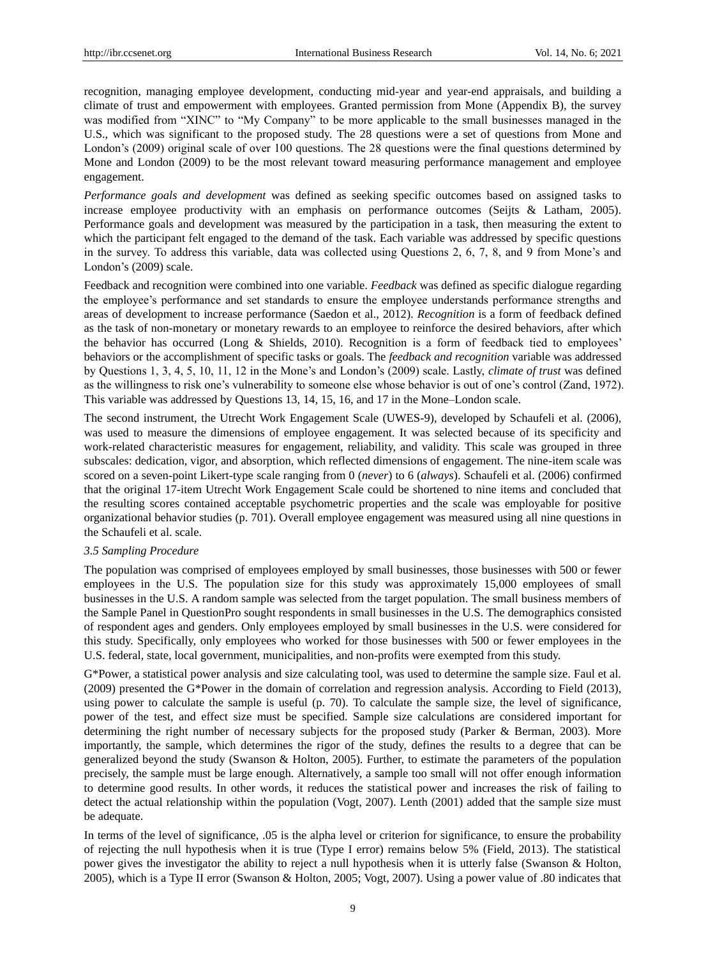recognition, managing employee development, conducting mid-year and year-end appraisals, and building a climate of trust and empowerment with employees. Granted permission from Mone (Appendix B), the survey was modified from "XINC" to "My Company" to be more applicable to the small businesses managed in the U.S., which was significant to the proposed study. The 28 questions were a set of questions from Mone and London's (2009) original scale of over 100 questions. The 28 questions were the final questions determined by Mone and London (2009) to be the most relevant toward measuring performance management and employee engagement.

*Performance goals and development* was defined as seeking specific outcomes based on assigned tasks to increase employee productivity with an emphasis on performance outcomes (Seijts & Latham, 2005). Performance goals and development was measured by the participation in a task, then measuring the extent to which the participant felt engaged to the demand of the task. Each variable was addressed by specific questions in the survey. To address this variable, data was collected using Questions 2, 6, 7, 8, and 9 from Mone's and London's (2009) scale.

Feedback and recognition were combined into one variable. *Feedback* was defined as specific dialogue regarding the employee's performance and set standards to ensure the employee understands performance strengths and areas of development to increase performance (Saedon et al., 2012). *Recognition* is a form of feedback defined as the task of non-monetary or monetary rewards to an employee to reinforce the desired behaviors, after which the behavior has occurred (Long & Shields, 2010). Recognition is a form of feedback tied to employees' behaviors or the accomplishment of specific tasks or goals. The *feedback and recognition* variable was addressed by Questions 1, 3, 4, 5, 10, 11, 12 in the Mone's and London's (2009) scale. Lastly, *climate of trust* was defined as the willingness to risk one's vulnerability to someone else whose behavior is out of one's control (Zand, 1972). This variable was addressed by Questions 13, 14, 15, 16, and 17 in the Mone–London scale.

The second instrument, the Utrecht Work Engagement Scale (UWES-9), developed by Schaufeli et al. (2006), was used to measure the dimensions of employee engagement. It was selected because of its specificity and work-related characteristic measures for engagement, reliability, and validity. This scale was grouped in three subscales: dedication, vigor, and absorption, which reflected dimensions of engagement. The nine-item scale was scored on a seven-point Likert-type scale ranging from 0 (*never*) to 6 (*always*). Schaufeli et al. (2006) confirmed that the original 17-item Utrecht Work Engagement Scale could be shortened to nine items and concluded that the resulting scores contained acceptable psychometric properties and the scale was employable for positive organizational behavior studies (p. 701). Overall employee engagement was measured using all nine questions in the Schaufeli et al. scale.

#### *3.5 Sampling Procedure*

The population was comprised of employees employed by small businesses, those businesses with 500 or fewer employees in the U.S. The population size for this study was approximately 15,000 employees of small businesses in the U.S. A random sample was selected from the target population. The small business members of the Sample Panel in QuestionPro sought respondents in small businesses in the U.S. The demographics consisted of respondent ages and genders. Only employees employed by small businesses in the U.S. were considered for this study. Specifically, only employees who worked for those businesses with 500 or fewer employees in the U.S. federal, state, local government, municipalities, and non-profits were exempted from this study.

G\*Power, a statistical power analysis and size calculating tool, was used to determine the sample size. Faul et al. (2009) presented the G\*Power in the domain of correlation and regression analysis. According to Field (2013), using power to calculate the sample is useful (p. 70). To calculate the sample size, the level of significance, power of the test, and effect size must be specified. Sample size calculations are considered important for determining the right number of necessary subjects for the proposed study (Parker & Berman, 2003). More importantly, the sample, which determines the rigor of the study, defines the results to a degree that can be generalized beyond the study (Swanson & Holton, 2005). Further, to estimate the parameters of the population precisely, the sample must be large enough. Alternatively, a sample too small will not offer enough information to determine good results. In other words, it reduces the statistical power and increases the risk of failing to detect the actual relationship within the population (Vogt, 2007). Lenth (2001) added that the sample size must be adequate.

In terms of the level of significance, .05 is the alpha level or criterion for significance, to ensure the probability of rejecting the null hypothesis when it is true (Type I error) remains below 5% (Field, 2013). The statistical power gives the investigator the ability to reject a null hypothesis when it is utterly false (Swanson & Holton, 2005), which is a Type II error (Swanson & Holton, 2005; Vogt, 2007). Using a power value of .80 indicates that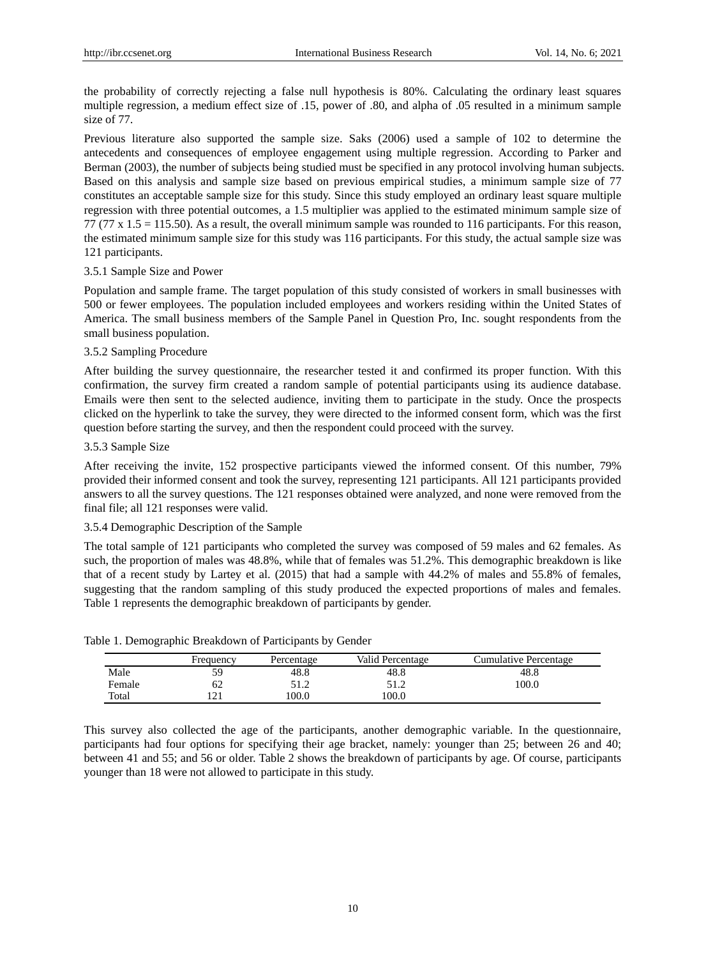the probability of correctly rejecting a false null hypothesis is 80%. Calculating the ordinary least squares multiple regression, a medium effect size of .15, power of .80, and alpha of .05 resulted in a minimum sample size of 77.

Previous literature also supported the sample size. Saks (2006) used a sample of 102 to determine the antecedents and consequences of employee engagement using multiple regression. According to Parker and Berman (2003), the number of subjects being studied must be specified in any protocol involving human subjects. Based on this analysis and sample size based on previous empirical studies, a minimum sample size of 77 constitutes an acceptable sample size for this study. Since this study employed an ordinary least square multiple regression with three potential outcomes, a 1.5 multiplier was applied to the estimated minimum sample size of 77 (77  $\times$  1.5 = 115.50). As a result, the overall minimum sample was rounded to 116 participants. For this reason, the estimated minimum sample size for this study was 116 participants. For this study, the actual sample size was 121 participants.

# 3.5.1 Sample Size and Power

Population and sample frame. The target population of this study consisted of workers in small businesses with 500 or fewer employees. The population included employees and workers residing within the United States of America. The small business members of the Sample Panel in Question Pro, Inc. sought respondents from the small business population.

# 3.5.2 Sampling Procedure

After building the survey questionnaire, the researcher tested it and confirmed its proper function. With this confirmation, the survey firm created a random sample of potential participants using its audience database. Emails were then sent to the selected audience, inviting them to participate in the study. Once the prospects clicked on the hyperlink to take the survey, they were directed to the informed consent form, which was the first question before starting the survey, and then the respondent could proceed with the survey.

# 3.5.3 Sample Size

After receiving the invite, 152 prospective participants viewed the informed consent. Of this number, 79% provided their informed consent and took the survey, representing 121 participants. All 121 participants provided answers to all the survey questions. The 121 responses obtained were analyzed, and none were removed from the final file; all 121 responses were valid.

# 3.5.4 Demographic Description of the Sample

The total sample of 121 participants who completed the survey was composed of 59 males and 62 females. As such, the proportion of males was 48.8%, while that of females was 51.2%. This demographic breakdown is like that of a recent study by Lartey et al. (2015) that had a sample with 44.2% of males and 55.8% of females, suggesting that the random sampling of this study produced the expected proportions of males and females. Table 1 represents the demographic breakdown of participants by gender.

|        | Frequency | Percentage | Valid Percentage | Cumulative Percentage |
|--------|-----------|------------|------------------|-----------------------|
| Male   | 59        | 48.8       | 48.8             | 48.8                  |
| Female | υZ        | 51.2       |                  | 100.0                 |
| Total  |           | 100.0      | 100.0            |                       |

Table 1. Demographic Breakdown of Participants by Gender

This survey also collected the age of the participants, another demographic variable. In the questionnaire, participants had four options for specifying their age bracket, namely: younger than 25; between 26 and 40; between 41 and 55; and 56 or older. Table 2 shows the breakdown of participants by age. Of course, participants younger than 18 were not allowed to participate in this study.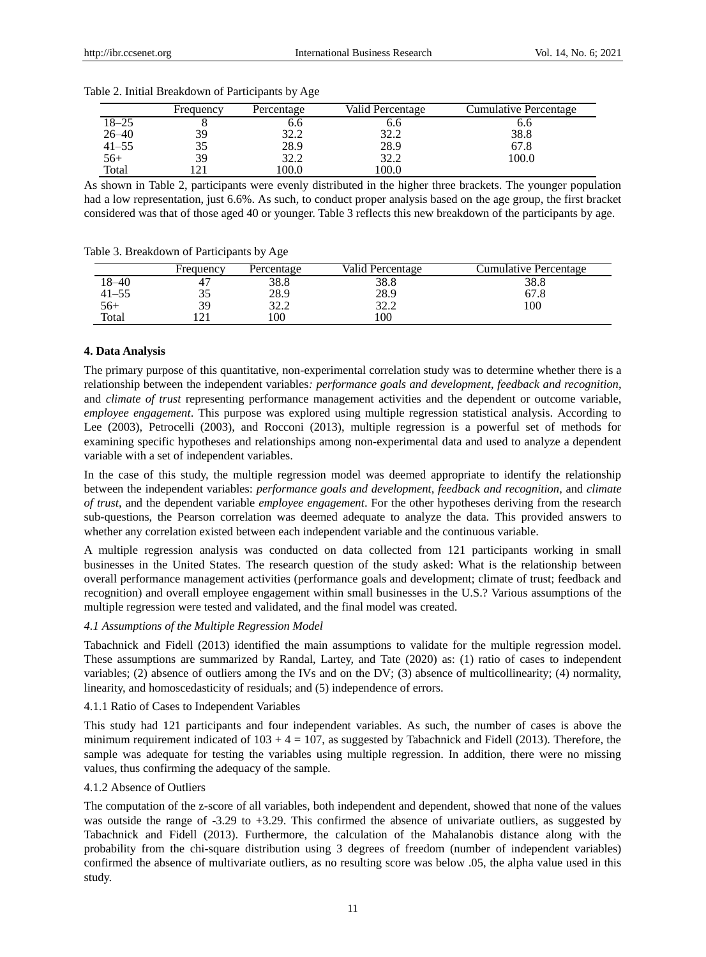|           | Frequency | Percentage       | Valid Percentage | Cumulative Percentage |
|-----------|-----------|------------------|------------------|-----------------------|
| $18 - 25$ |           | b.b              | 0.0              | o.o                   |
| $26 - 40$ | 39        | 20 O<br>ے ۔ بے ر | າາ າ<br>ے ۔ بے ت | 38.8                  |
| $41 - 55$ | 35        | 28.9             | 28.9             | 67.8                  |
| $56+$     | 39        | 32.2             | 32.2             | 100.0                 |
| Total     |           | 100.0            | 00.0             |                       |

Table 2. Initial Breakdown of Participants by Age

As shown in Table 2, participants were evenly distributed in the higher three brackets. The younger population had a low representation, just 6.6%. As such, to conduct proper analysis based on the age group, the first bracket considered was that of those aged 40 or younger. Table 3 reflects this new breakdown of the participants by age.

Table 3. Breakdown of Participants by Age

|       | Frequency | Percentage       | Valid Percentage | Cumulative Percentage |
|-------|-----------|------------------|------------------|-----------------------|
| 18–40 |           | 38.8             | 38.8             | 38.8                  |
| 41–55 | 33        | 28.9             | 28.9             | 67.8                  |
| $56+$ | 39        | າາ າ<br>ے ، بے ر | 20 O<br>ے ۔ بے ز | 100                   |
| Total |           | 100              | 100              |                       |

## **4. Data Analysis**

The primary purpose of this quantitative, non-experimental correlation study was to determine whether there is a relationship between the independent variables*: performance goals and development*, *feedback and recognition*, and *climate of trust* representing performance management activities and the dependent or outcome variable, *employee engagement*. This purpose was explored using multiple regression statistical analysis. According to Lee (2003), Petrocelli (2003), and Rocconi (2013), multiple regression is a powerful set of methods for examining specific hypotheses and relationships among non-experimental data and used to analyze a dependent variable with a set of independent variables.

In the case of this study, the multiple regression model was deemed appropriate to identify the relationship between the independent variables: *performance goals and development*, *feedback and recognition*, and *climate of trust*, and the dependent variable *employee engagement*. For the other hypotheses deriving from the research sub-questions, the Pearson correlation was deemed adequate to analyze the data. This provided answers to whether any correlation existed between each independent variable and the continuous variable.

A multiple regression analysis was conducted on data collected from 121 participants working in small businesses in the United States. The research question of the study asked: What is the relationship between overall performance management activities (performance goals and development; climate of trust; feedback and recognition) and overall employee engagement within small businesses in the U.S.? Various assumptions of the multiple regression were tested and validated, and the final model was created.

## *4.1 Assumptions of the Multiple Regression Model*

Tabachnick and Fidell (2013) identified the main assumptions to validate for the multiple regression model. These assumptions are summarized by Randal, Lartey, and Tate (2020) as: (1) ratio of cases to independent variables; (2) absence of outliers among the IVs and on the DV; (3) absence of multicollinearity; (4) normality, linearity, and homoscedasticity of residuals; and (5) independence of errors.

#### 4.1.1 Ratio of Cases to Independent Variables

This study had 121 participants and four independent variables. As such, the number of cases is above the minimum requirement indicated of  $103 + 4 = 107$ , as suggested by Tabachnick and Fidell (2013). Therefore, the sample was adequate for testing the variables using multiple regression. In addition, there were no missing values, thus confirming the adequacy of the sample.

#### 4.1.2 Absence of Outliers

The computation of the z-score of all variables, both independent and dependent, showed that none of the values was outside the range of -3.29 to +3.29. This confirmed the absence of univariate outliers, as suggested by Tabachnick and Fidell (2013). Furthermore, the calculation of the Mahalanobis distance along with the probability from the chi-square distribution using 3 degrees of freedom (number of independent variables) confirmed the absence of multivariate outliers, as no resulting score was below .05, the alpha value used in this study.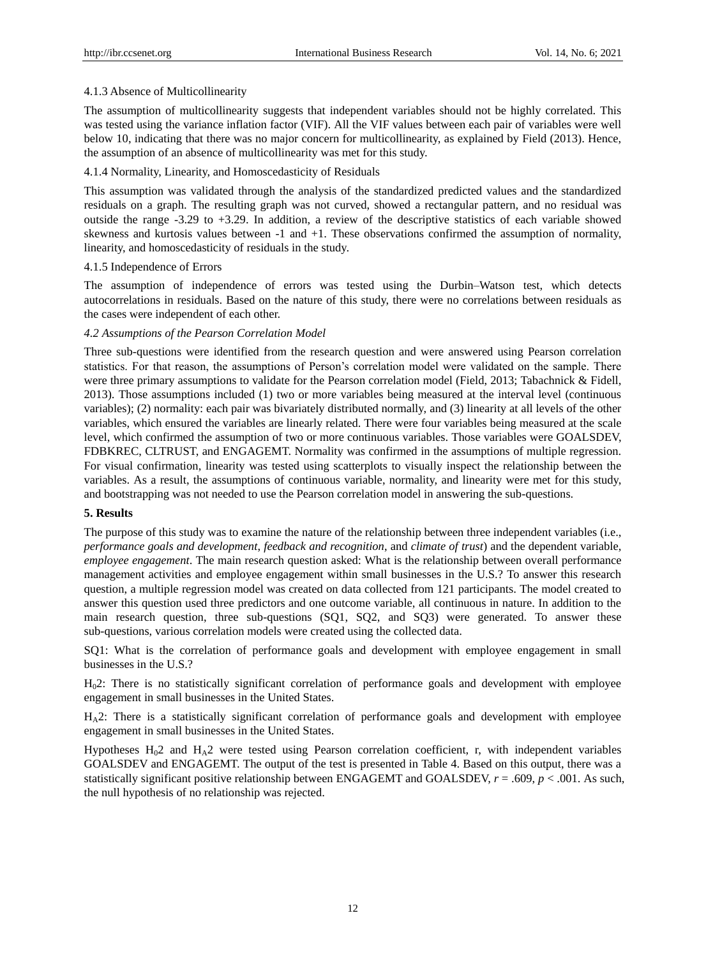#### 4.1.3 Absence of Multicollinearity

The assumption of multicollinearity suggests that independent variables should not be highly correlated. This was tested using the variance inflation factor (VIF). All the VIF values between each pair of variables were well below 10, indicating that there was no major concern for multicollinearity, as explained by Field (2013). Hence, the assumption of an absence of multicollinearity was met for this study.

## 4.1.4 Normality, Linearity, and Homoscedasticity of Residuals

This assumption was validated through the analysis of the standardized predicted values and the standardized residuals on a graph. The resulting graph was not curved, showed a rectangular pattern, and no residual was outside the range  $-3.29$  to  $+3.29$ . In addition, a review of the descriptive statistics of each variable showed skewness and kurtosis values between -1 and +1. These observations confirmed the assumption of normality, linearity, and homoscedasticity of residuals in the study.

## 4.1.5 Independence of Errors

The assumption of independence of errors was tested using the Durbin–Watson test, which detects autocorrelations in residuals. Based on the nature of this study, there were no correlations between residuals as the cases were independent of each other.

# *4.2 Assumptions of the Pearson Correlation Model*

Three sub-questions were identified from the research question and were answered using Pearson correlation statistics. For that reason, the assumptions of Person's correlation model were validated on the sample. There were three primary assumptions to validate for the Pearson correlation model (Field, 2013; Tabachnick & Fidell, 2013). Those assumptions included (1) two or more variables being measured at the interval level (continuous variables); (2) normality: each pair was bivariately distributed normally, and (3) linearity at all levels of the other variables, which ensured the variables are linearly related. There were four variables being measured at the scale level, which confirmed the assumption of two or more continuous variables. Those variables were GOALSDEV, FDBKREC, CLTRUST, and ENGAGEMT. Normality was confirmed in the assumptions of multiple regression. For visual confirmation, linearity was tested using scatterplots to visually inspect the relationship between the variables. As a result, the assumptions of continuous variable, normality, and linearity were met for this study, and bootstrapping was not needed to use the Pearson correlation model in answering the sub-questions.

#### **5. Results**

The purpose of this study was to examine the nature of the relationship between three independent variables (i.e., *performance goals and development*, *feedback and recognition*, and *climate of trust*) and the dependent variable, *employee engagement*. The main research question asked: What is the relationship between overall performance management activities and employee engagement within small businesses in the U.S.? To answer this research question, a multiple regression model was created on data collected from 121 participants. The model created to answer this question used three predictors and one outcome variable, all continuous in nature. In addition to the main research question, three sub-questions (SQ1, SQ2, and SQ3) were generated. To answer these sub-questions, various correlation models were created using the collected data.

SQ1: What is the correlation of performance goals and development with employee engagement in small businesses in the U.S.?

H02: There is no statistically significant correlation of performance goals and development with employee engagement in small businesses in the United States.

 $H_A2$ : There is a statistically significant correlation of performance goals and development with employee engagement in small businesses in the United States.

Hypotheses  $H_0^2$  and  $H_A^2$  were tested using Pearson correlation coefficient, r, with independent variables GOALSDEV and ENGAGEMT. The output of the test is presented in Table 4. Based on this output, there was a statistically significant positive relationship between ENGAGEMT and GOALSDEV, *r* = .609, *p* < .001. As such, the null hypothesis of no relationship was rejected.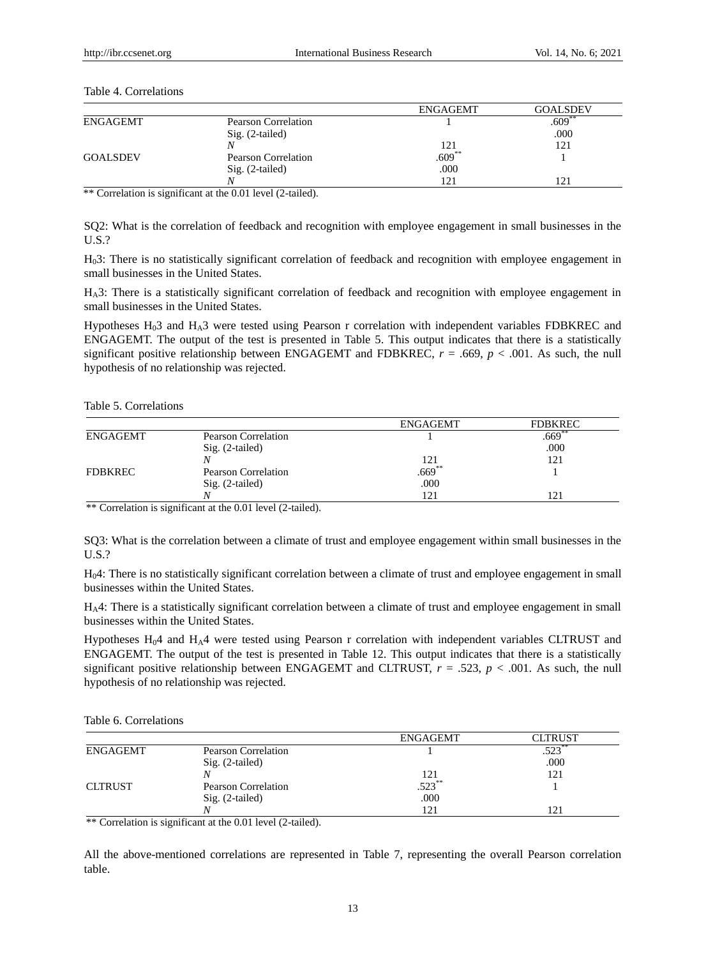# Table 4. Correlations

|                 |                     | <b>ENGAGEMT</b> | GOAL SDEV |
|-----------------|---------------------|-----------------|-----------|
| ENGAGEMT        | Pearson Correlation |                 | $.609**$  |
|                 | $Sig. (2-tailed)$   |                 | .000      |
|                 |                     | 121             | 121       |
| <b>GOALSDEV</b> | Pearson Correlation | $.609**$        |           |
|                 | $Sig. (2-tailed)$   | .000            |           |
|                 | λ                   | 121             |           |

\*\*\* Correlation is significant at the 0.01 level (2-tailed).

SQ2: What is the correlation of feedback and recognition with employee engagement in small businesses in the U.S.?

H03: There is no statistically significant correlation of feedback and recognition with employee engagement in small businesses in the United States.

HA3: There is a statistically significant correlation of feedback and recognition with employee engagement in small businesses in the United States.

Hypotheses  $H_0$ 3 and  $H_A$ 3 were tested using Pearson r correlation with independent variables FDBKREC and ENGAGEMT. The output of the test is presented in Table 5. This output indicates that there is a statistically significant positive relationship between ENGAGEMT and FDBKREC,  $r = .669$ ,  $p < .001$ . As such, the null hypothesis of no relationship was rejected.

## Table 5. Correlations

|                 |                            | <b>ENGAGEMT</b>     | <b>FDBKREC</b> |
|-----------------|----------------------------|---------------------|----------------|
| <b>ENGAGEMT</b> | <b>Pearson Correlation</b> |                     | $.669**$       |
|                 | $Sig. (2-tailed)$          |                     | .000           |
|                 |                            |                     | 121            |
| FDBKREC         | Pearson Correlation        | $\frac{121}{0.669}$ |                |
|                 | Sig. (2-tailed)            | .000                |                |
|                 |                            | 121                 | 121            |

 $**$  Correlation is significant at the 0.01 level (2-tailed).

SQ3: What is the correlation between a climate of trust and employee engagement within small businesses in the U.S.?

H04: There is no statistically significant correlation between a climate of trust and employee engagement in small businesses within the United States.

HA4: There is a statistically significant correlation between a climate of trust and employee engagement in small businesses within the United States.

Hypotheses  $H_0$ 4 and  $H_A$ 4 were tested using Pearson r correlation with independent variables CLTRUST and ENGAGEMT. The output of the test is presented in Table 12. This output indicates that there is a statistically significant positive relationship between ENGAGEMT and CLTRUST,  $r = .523$ ,  $p < .001$ . As such, the null hypothesis of no relationship was rejected.

Table 6. Correlations

|                |                     | <b>ENGAGEMT</b>   | CLTRUST  |
|----------------|---------------------|-------------------|----------|
| ENGAGEMT       | Pearson Correlation |                   | $523***$ |
|                | Sig. (2-tailed)     |                   | .000     |
|                |                     |                   | 121      |
| <b>CLTRUST</b> | Pearson Correlation | $\frac{121}{523}$ |          |
|                | Sig. (2-tailed)     | .000              |          |
|                |                     | 121               | 21       |

\*\* Correlation is significant at the 0.01 level (2-tailed).

All the above-mentioned correlations are represented in Table 7, representing the overall Pearson correlation table.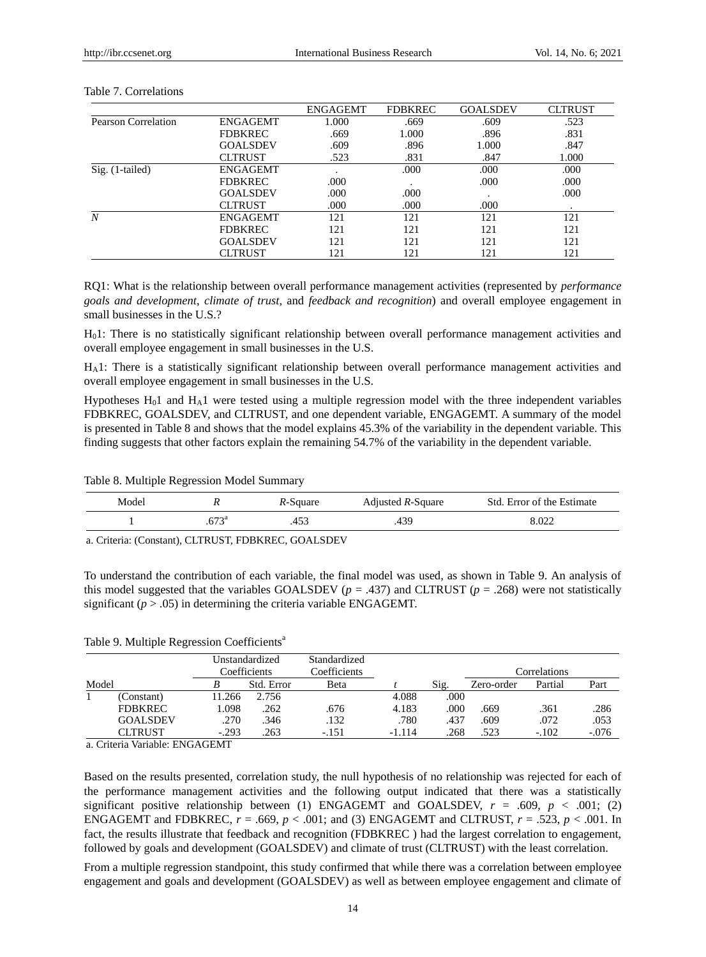|                     |                 | <b>ENGAGEMT</b> | <b>FDBKREC</b> | <b>GOALSDEV</b> | <b>CLTRUST</b> |
|---------------------|-----------------|-----------------|----------------|-----------------|----------------|
| Pearson Correlation | <b>ENGAGEMT</b> | 1.000           | .669           | .609            | .523           |
|                     | <b>FDBKREC</b>  | .669            | 1.000          | .896            | .831           |
|                     | <b>GOALSDEV</b> | .609            | .896           | 1.000           | .847           |
|                     | <b>CLTRUST</b>  | .523            | .831           | .847            | 1.000          |
| $Sig. (1-tailed)$   | <b>ENGAGEMT</b> |                 | .000           | .000            | .000           |
|                     | <b>FDBKREC</b>  | .000            | $\cdot$        | .000            | .000           |
|                     | <b>GOALSDEV</b> | .000            | .000           |                 | .000           |
|                     | <b>CLTRUST</b>  | .000            | .000           | .000            |                |
| N                   | <b>ENGAGEMT</b> | 121             | 121            | 121             | 121            |
|                     | <b>FDBKREC</b>  | 121             | 121            | 121             | 121            |
|                     | <b>GOALSDEV</b> | 121             | 121            | 121             | 121            |
|                     | CLTRUST         | 121             | 121            | 121             | 121            |

#### Table 7. Correlations

RQ1: What is the relationship between overall performance management activities (represented by *performance goals and development*, *climate of trust*, and *feedback and recognition*) and overall employee engagement in small businesses in the U.S.?

H01: There is no statistically significant relationship between overall performance management activities and overall employee engagement in small businesses in the U.S.

HA1: There is a statistically significant relationship between overall performance management activities and overall employee engagement in small businesses in the U.S.

Hypotheses  $H_01$  and  $H_A1$  were tested using a multiple regression model with the three independent variables FDBKREC, GOALSDEV, and CLTRUST, and one dependent variable, ENGAGEMT. A summary of the model is presented in Table 8 and shows that the model explains 45.3% of the variability in the dependent variable. This finding suggests that other factors explain the remaining 54.7% of the variability in the dependent variable.

Table 8. Multiple Regression Model Summary

| Model | $\mathbf{v}$ | <i>R</i> -Square | Adjusted R-Square | Std. Error of the Estimate |  |
|-------|--------------|------------------|-------------------|----------------------------|--|
|       | 672a         | 4D.              |                   | 8.022                      |  |

a. Criteria: (Constant), CLTRUST, FDBKREC, GOALSDEV

To understand the contribution of each variable, the final model was used, as shown in Table 9. An analysis of this model suggested that the variables GOALSDEV ( $p = .437$ ) and CLTRUST ( $p = .268$ ) were not statistically significant  $(p > .05)$  in determining the criteria variable ENGAGEMT.

Table 9. Multiple Regression Coefficients<sup>a</sup>

|       |                 |         | Unstandardized<br>Coefficients | Standardized<br>Coefficients |          |      |            | Correlations |         |
|-------|-----------------|---------|--------------------------------|------------------------------|----------|------|------------|--------------|---------|
| Model |                 |         | Std. Error                     | Beta                         |          | Sig. | Zero-order | Partial      | Part    |
|       | (Constant)      | 11.266  | 2.756                          |                              | 4.088    | .000 |            |              |         |
|       | <b>FDBKREC</b>  | 1.098   | .262                           | .676                         | 4.183    | .000 | .669       | .361         | .286    |
|       | <b>GOALSDEV</b> | .270    | .346                           | .132                         | .780     | .437 | .609       | .072         | .053    |
|       | <b>CLTRUST</b>  | $-.293$ | 263                            | $-.151$                      | $-1.114$ | .268 | 523        | $-.102$      | $-.076$ |

a. Criteria Variable: ENGAGEMT

Based on the results presented, correlation study, the null hypothesis of no relationship was rejected for each of the performance management activities and the following output indicated that there was a statistically significant positive relationship between (1) ENGAGEMT and GOALSDEV,  $r = .609$ ,  $p < .001$ ; (2) ENGAGEMT and FDBKREC,  $r = .669$ ,  $p < .001$ ; and (3) ENGAGEMT and CLTRUST,  $r = .523$ ,  $p < .001$ . In fact, the results illustrate that feedback and recognition (FDBKREC ) had the largest correlation to engagement, followed by goals and development (GOALSDEV) and climate of trust (CLTRUST) with the least correlation.

From a multiple regression standpoint, this study confirmed that while there was a correlation between employee engagement and goals and development (GOALSDEV) as well as between employee engagement and climate of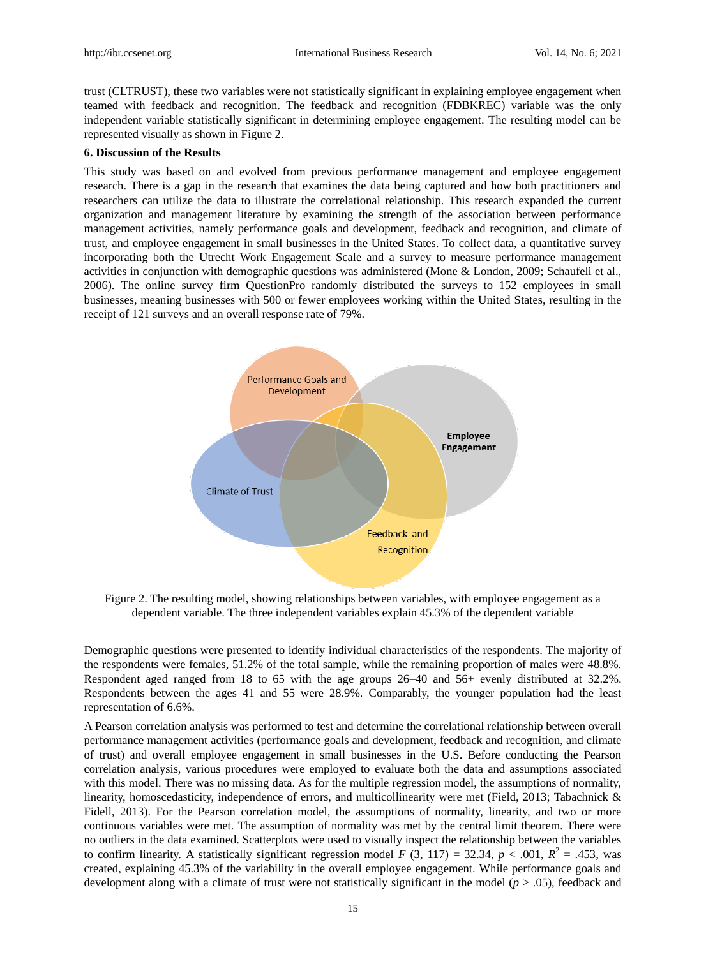trust (CLTRUST), these two variables were not statistically significant in explaining employee engagement when teamed with feedback and recognition. The feedback and recognition (FDBKREC) variable was the only independent variable statistically significant in determining employee engagement. The resulting model can be represented visually as shown in Figure 2.

#### **6. Discussion of the Results**

This study was based on and evolved from previous performance management and employee engagement research. There is a gap in the research that examines the data being captured and how both practitioners and researchers can utilize the data to illustrate the correlational relationship. This research expanded the current organization and management literature by examining the strength of the association between performance management activities, namely performance goals and development, feedback and recognition, and climate of trust, and employee engagement in small businesses in the United States. To collect data, a quantitative survey incorporating both the Utrecht Work Engagement Scale and a survey to measure performance management activities in conjunction with demographic questions was administered (Mone & London, 2009; Schaufeli et al., 2006). The online survey firm QuestionPro randomly distributed the surveys to 152 employees in small businesses, meaning businesses with 500 or fewer employees working within the United States, resulting in the receipt of 121 surveys and an overall response rate of 79%.



Figure 2. The resulting model, showing relationships between variables, with employee engagement as a dependent variable. The three independent variables explain 45.3% of the dependent variable

Demographic questions were presented to identify individual characteristics of the respondents. The majority of the respondents were females, 51.2% of the total sample, while the remaining proportion of males were 48.8%. Respondent aged ranged from 18 to 65 with the age groups 26–40 and 56+ evenly distributed at 32.2%. Respondents between the ages 41 and 55 were 28.9%. Comparably, the younger population had the least representation of 6.6%.

A Pearson correlation analysis was performed to test and determine the correlational relationship between overall performance management activities (performance goals and development, feedback and recognition, and climate of trust) and overall employee engagement in small businesses in the U.S. Before conducting the Pearson correlation analysis, various procedures were employed to evaluate both the data and assumptions associated with this model. There was no missing data. As for the multiple regression model, the assumptions of normality, linearity, homoscedasticity, independence of errors, and multicollinearity were met (Field, 2013; Tabachnick & Fidell, 2013). For the Pearson correlation model, the assumptions of normality, linearity, and two or more continuous variables were met. The assumption of normality was met by the central limit theorem. There were no outliers in the data examined. Scatterplots were used to visually inspect the relationship between the variables to confirm linearity. A statistically significant regression model *F* (3, 117) = 32.34, *p* < .001,  $R^2$  = .453, was created, explaining 45.3% of the variability in the overall employee engagement. While performance goals and development along with a climate of trust were not statistically significant in the model (*p* > .05), feedback and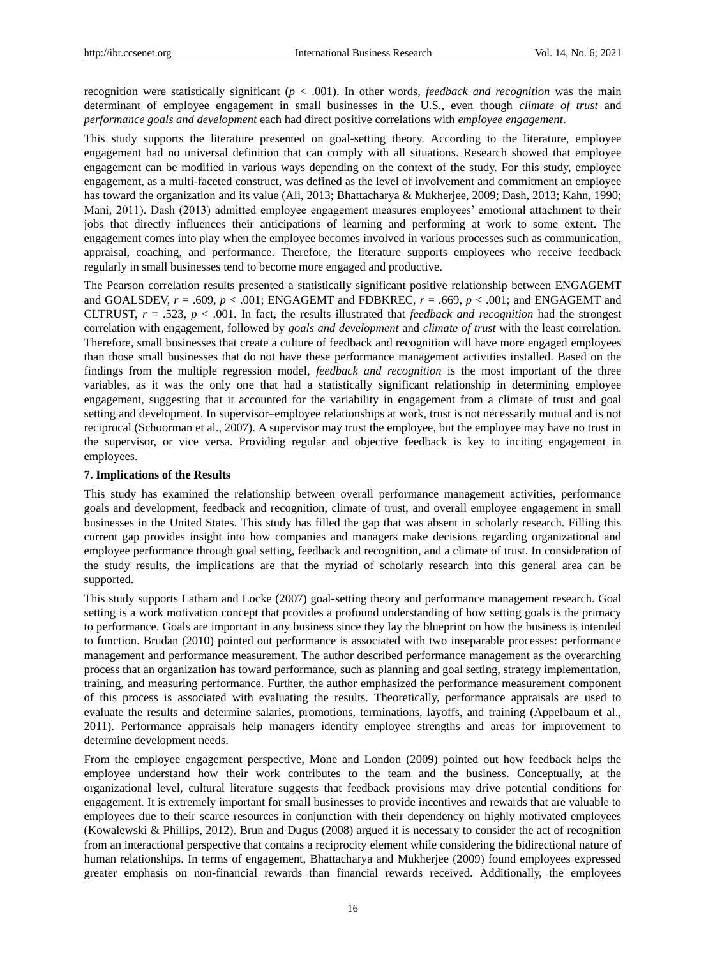recognition were statistically significant  $(p < .001)$ . In other words, *feedback and recognition* was the main determinant of employee engagement in small businesses in the U.S., even though *climate of trust* and *performance goals and development* each had direct positive correlations with *employee engagement*.

This study supports the literature presented on goal-setting theory. According to the literature, employee engagement had no universal definition that can comply with all situations. Research showed that employee engagement can be modified in various ways depending on the context of the study. For this study, employee engagement, as a multi-faceted construct, was defined as the level of involvement and commitment an employee has toward the organization and its value (Ali, 2013; Bhattacharya & Mukherjee, 2009; Dash, 2013; Kahn, 1990; Mani, 2011). Dash (2013) admitted employee engagement measures employees' emotional attachment to their jobs that directly influences their anticipations of learning and performing at work to some extent. The engagement comes into play when the employee becomes involved in various processes such as communication, appraisal, coaching, and performance. Therefore, the literature supports employees who receive feedback regularly in small businesses tend to become more engaged and productive.

The Pearson correlation results presented a statistically significant positive relationship between ENGAGEMT and GOALSDEV, *r* = .609, *p* < .001; ENGAGEMT and FDBKREC, *r* = .669, *p* < .001; and ENGAGEMT and CLTRUST,  $r = .523$ ,  $p < .001$ . In fact, the results illustrated that *feedback and recognition* had the strongest correlation with engagement, followed by *goals and development* and *climate of trust* with the least correlation. Therefore, small businesses that create a culture of feedback and recognition will have more engaged employees than those small businesses that do not have these performance management activities installed. Based on the findings from the multiple regression model, *feedback and recognition* is the most important of the three variables, as it was the only one that had a statistically significant relationship in determining employee engagement, suggesting that it accounted for the variability in engagement from a climate of trust and goal setting and development. In supervisor–employee relationships at work, trust is not necessarily mutual and is not reciprocal (Schoorman et al., 2007). A supervisor may trust the employee, but the employee may have no trust in the supervisor, or vice versa. Providing regular and objective feedback is key to inciting engagement in employees.

#### **7. Implications of the Results**

This study has examined the relationship between overall performance management activities, performance goals and development, feedback and recognition, climate of trust, and overall employee engagement in small businesses in the United States. This study has filled the gap that was absent in scholarly research. Filling this current gap provides insight into how companies and managers make decisions regarding organizational and employee performance through goal setting, feedback and recognition, and a climate of trust. In consideration of the study results, the implications are that the myriad of scholarly research into this general area can be supported.

This study supports Latham and Locke (2007) goal-setting theory and performance management research. Goal setting is a work motivation concept that provides a profound understanding of how setting goals is the primacy to performance. Goals are important in any business since they lay the blueprint on how the business is intended to function. Brudan (2010) pointed out performance is associated with two inseparable processes: performance management and performance measurement. The author described performance management as the overarching process that an organization has toward performance, such as planning and goal setting, strategy implementation, training, and measuring performance. Further, the author emphasized the performance measurement component of this process is associated with evaluating the results. Theoretically, performance appraisals are used to evaluate the results and determine salaries, promotions, terminations, layoffs, and training (Appelbaum et al., 2011). Performance appraisals help managers identify employee strengths and areas for improvement to determine development needs.

From the employee engagement perspective, Mone and London (2009) pointed out how feedback helps the employee understand how their work contributes to the team and the business. Conceptually, at the organizational level, cultural literature suggests that feedback provisions may drive potential conditions for engagement. It is extremely important for small businesses to provide incentives and rewards that are valuable to employees due to their scarce resources in conjunction with their dependency on highly motivated employees (Kowalewski & Phillips, 2012). Brun and Dugus (2008) argued it is necessary to consider the act of recognition from an interactional perspective that contains a reciprocity element while considering the bidirectional nature of human relationships. In terms of engagement, Bhattacharya and Mukherjee (2009) found employees expressed greater emphasis on non-financial rewards than financial rewards received. Additionally, the employees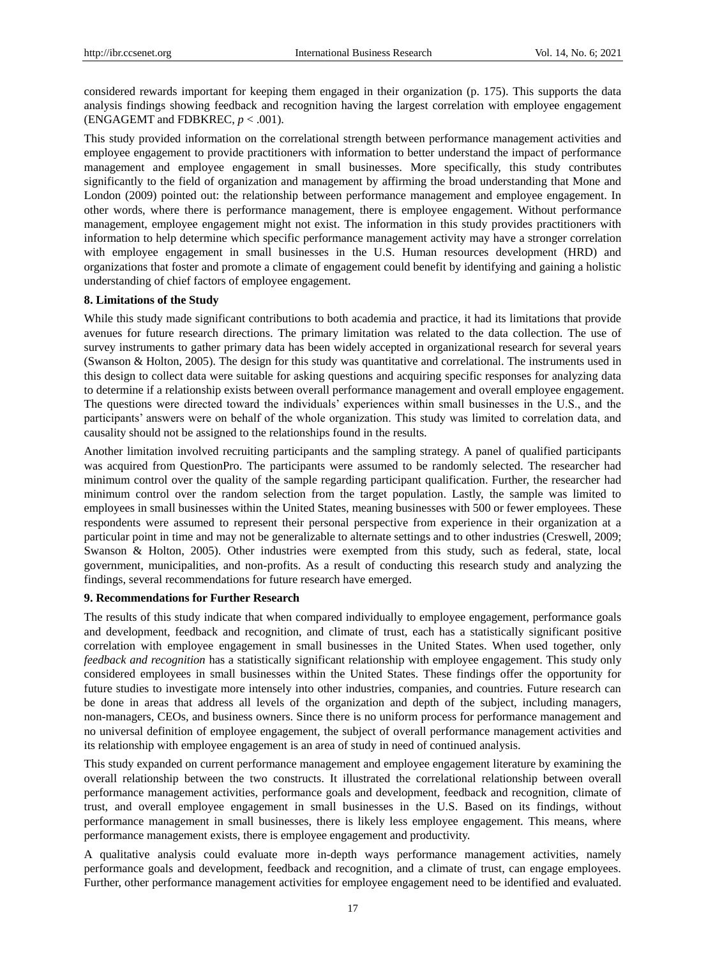considered rewards important for keeping them engaged in their organization (p. 175). This supports the data analysis findings showing feedback and recognition having the largest correlation with employee engagement (ENGAGEMT and FDBKREC,  $p < .001$ ).

This study provided information on the correlational strength between performance management activities and employee engagement to provide practitioners with information to better understand the impact of performance management and employee engagement in small businesses. More specifically, this study contributes significantly to the field of organization and management by affirming the broad understanding that Mone and London (2009) pointed out: the relationship between performance management and employee engagement. In other words, where there is performance management, there is employee engagement. Without performance management, employee engagement might not exist. The information in this study provides practitioners with information to help determine which specific performance management activity may have a stronger correlation with employee engagement in small businesses in the U.S. Human resources development (HRD) and organizations that foster and promote a climate of engagement could benefit by identifying and gaining a holistic understanding of chief factors of employee engagement.

# **8. Limitations of the Study**

While this study made significant contributions to both academia and practice, it had its limitations that provide avenues for future research directions. The primary limitation was related to the data collection. The use of survey instruments to gather primary data has been widely accepted in organizational research for several years (Swanson & Holton, 2005). The design for this study was quantitative and correlational. The instruments used in this design to collect data were suitable for asking questions and acquiring specific responses for analyzing data to determine if a relationship exists between overall performance management and overall employee engagement. The questions were directed toward the individuals' experiences within small businesses in the U.S., and the participants' answers were on behalf of the whole organization. This study was limited to correlation data, and causality should not be assigned to the relationships found in the results.

Another limitation involved recruiting participants and the sampling strategy. A panel of qualified participants was acquired from QuestionPro. The participants were assumed to be randomly selected. The researcher had minimum control over the quality of the sample regarding participant qualification. Further, the researcher had minimum control over the random selection from the target population. Lastly, the sample was limited to employees in small businesses within the United States, meaning businesses with 500 or fewer employees. These respondents were assumed to represent their personal perspective from experience in their organization at a particular point in time and may not be generalizable to alternate settings and to other industries (Creswell, 2009; Swanson & Holton, 2005). Other industries were exempted from this study, such as federal, state, local government, municipalities, and non-profits. As a result of conducting this research study and analyzing the findings, several recommendations for future research have emerged.

# **9. Recommendations for Further Research**

The results of this study indicate that when compared individually to employee engagement, performance goals and development, feedback and recognition, and climate of trust, each has a statistically significant positive correlation with employee engagement in small businesses in the United States. When used together, only *feedback and recognition* has a statistically significant relationship with employee engagement. This study only considered employees in small businesses within the United States. These findings offer the opportunity for future studies to investigate more intensely into other industries, companies, and countries. Future research can be done in areas that address all levels of the organization and depth of the subject, including managers, non-managers, CEOs, and business owners. Since there is no uniform process for performance management and no universal definition of employee engagement, the subject of overall performance management activities and its relationship with employee engagement is an area of study in need of continued analysis.

This study expanded on current performance management and employee engagement literature by examining the overall relationship between the two constructs. It illustrated the correlational relationship between overall performance management activities, performance goals and development, feedback and recognition, climate of trust, and overall employee engagement in small businesses in the U.S. Based on its findings, without performance management in small businesses, there is likely less employee engagement. This means, where performance management exists, there is employee engagement and productivity.

A qualitative analysis could evaluate more in-depth ways performance management activities, namely performance goals and development, feedback and recognition, and a climate of trust, can engage employees. Further, other performance management activities for employee engagement need to be identified and evaluated.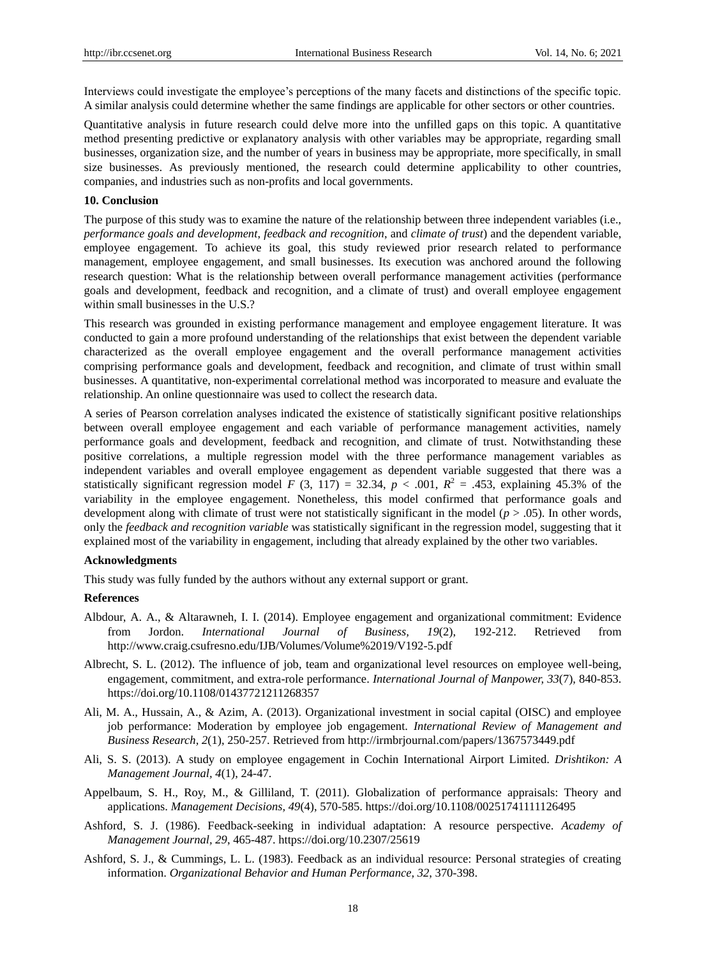Interviews could investigate the employee's perceptions of the many facets and distinctions of the specific topic. A similar analysis could determine whether the same findings are applicable for other sectors or other countries.

Quantitative analysis in future research could delve more into the unfilled gaps on this topic. A quantitative method presenting predictive or explanatory analysis with other variables may be appropriate, regarding small businesses, organization size, and the number of years in business may be appropriate, more specifically, in small size businesses. As previously mentioned, the research could determine applicability to other countries, companies, and industries such as non-profits and local governments.

## **10. Conclusion**

The purpose of this study was to examine the nature of the relationship between three independent variables (i.e., *performance goals and development*, *feedback and recognition*, and *climate of trust*) and the dependent variable, employee engagement. To achieve its goal, this study reviewed prior research related to performance management, employee engagement, and small businesses. Its execution was anchored around the following research question: What is the relationship between overall performance management activities (performance goals and development, feedback and recognition, and a climate of trust) and overall employee engagement within small businesses in the U.S.?

This research was grounded in existing performance management and employee engagement literature. It was conducted to gain a more profound understanding of the relationships that exist between the dependent variable characterized as the overall employee engagement and the overall performance management activities comprising performance goals and development, feedback and recognition, and climate of trust within small businesses. A quantitative, non-experimental correlational method was incorporated to measure and evaluate the relationship. An online questionnaire was used to collect the research data.

A series of Pearson correlation analyses indicated the existence of statistically significant positive relationships between overall employee engagement and each variable of performance management activities, namely performance goals and development, feedback and recognition, and climate of trust. Notwithstanding these positive correlations, a multiple regression model with the three performance management variables as independent variables and overall employee engagement as dependent variable suggested that there was a statistically significant regression model *F* (3, 117) = 32.34,  $p < .001$ ,  $R^2 = .453$ , explaining 45.3% of the variability in the employee engagement. Nonetheless, this model confirmed that performance goals and development along with climate of trust were not statistically significant in the model (*p* > .05). In other words, only the *feedback and recognition variable* was statistically significant in the regression model, suggesting that it explained most of the variability in engagement, including that already explained by the other two variables.

#### **Acknowledgments**

This study was fully funded by the authors without any external support or grant.

#### **References**

- Albdour, A. A., & Altarawneh, I. I. (2014). Employee engagement and organizational commitment: Evidence from Jordon. *International Journal of Business, 19*(2), 192-212. Retrieved from <http://www.craig.csufresno.edu/IJB/Volumes/Volume%2019/V192-5.pdf>
- Albrecht, S. L. (2012). The influence of job, team and organizational level resources on employee well-being, engagement, commitment, and extra-role performance. *International Journal of Manpower, 33*(7), 840-853. <https://doi.org/10.1108/01437721211268357>
- Ali, M. A., Hussain, A., & Azim, A. (2013). Organizational investment in social capital (OISC) and employee job performance: Moderation by employee job engagement. *International Review of Management and Business Research, 2*(1), 250-257. Retrieved fro[m http://irmbrjournal.com/papers/1367573449.pdf](http://irmbrjournal.com/papers/1367573449.pdf)
- Ali, S. S. (2013). A study on employee engagement in Cochin International Airport Limited. *Drishtikon: A Management Journal, 4*(1), 24-47.
- Appelbaum, S. H., Roy, M., & Gilliland, T. (2011). Globalization of performance appraisals: Theory and applications. *Management Decisions, 49*(4), 570-585.<https://doi.org/10.1108/00251741111126495>
- Ashford, S. J. (1986). Feedback-seeking in individual adaptation: A resource perspective. *Academy of Management Journal, 29*, 465-487.<https://doi.org/10.2307/25619>
- Ashford, S. J., & Cummings, L. L. (1983). Feedback as an individual resource: Personal strategies of creating information. *Organizational Behavior and Human Performance, 32*, 370-398.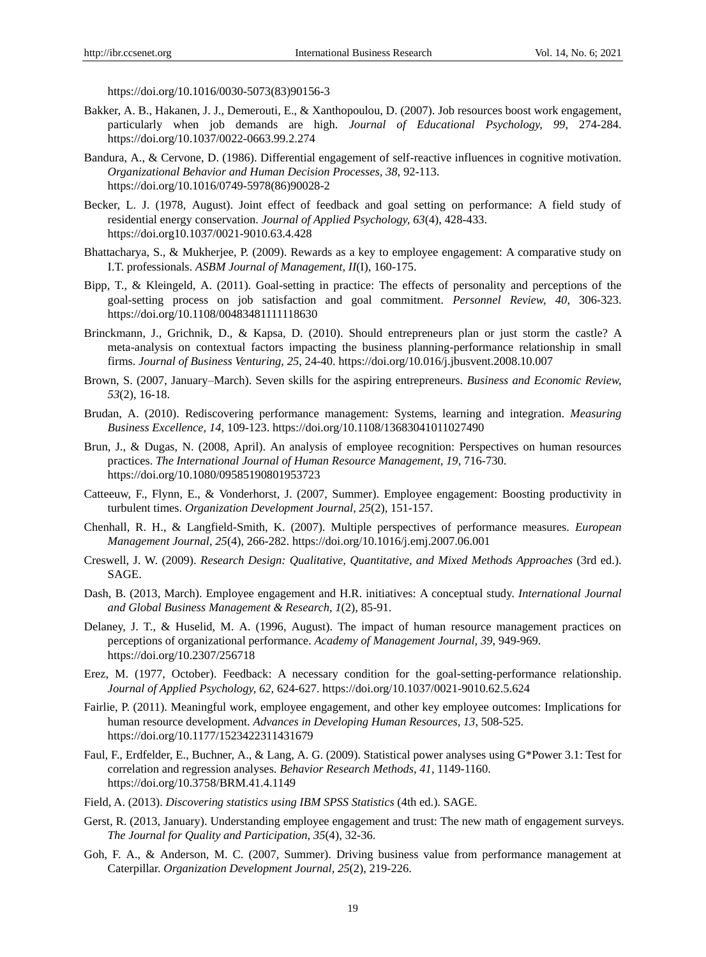[https://doi.org/10.1016/0030-5073\(83\)90156-3](https://doi.org/10.1016/0030-5073(83)90156-3)

- Bakker, A. B., Hakanen, J. J., Demerouti, E., & Xanthopoulou, D. (2007). Job resources boost work engagement, particularly when job demands are high. *Journal of Educational Psychology, 99*, 274-284. <https://doi.org/10.1037/0022-0663.99.2.274>
- Bandura, A., & Cervone, D. (1986). Differential engagement of self-reactive influences in cognitive motivation. *Organizational Behavior and Human Decision Processes, 38*, 92-113. https://doi.org/10.1016/0749-5978(86)90028-2
- Becker, L. J. (1978, August). Joint effect of feedback and goal setting on performance: A field study of residential energy conservation. *Journal of Applied Psychology, 63*(4), 428-433. <https://doi.org10.1037/0021-9010.63.4.428>
- Bhattacharya, S., & Mukherjee, P. (2009). Rewards as a key to employee engagement: A comparative study on I.T. professionals. *ASBM Journal of Management, II*(I), 160-175.
- Bipp, T., & Kleingeld, A. (2011). Goal-setting in practice: The effects of personality and perceptions of the goal-setting process on job satisfaction and goal commitment. *Personnel Review, 40*, 306-323. <https://doi.org/10.1108/00483481111118630>
- Brinckmann, J., Grichnik, D., & Kapsa, D. (2010). Should entrepreneurs plan or just storm the castle? A meta-analysis on contextual factors impacting the business planning-performance relationship in small firms. *Journal of Business Venturing, 25*, 24-40[. https://doi.org/10.016/j.jbusvent.2008.10.007](https://doi.org/10.016/j.jbusvent.2008.10.007)
- Brown, S. (2007, January–March). Seven skills for the aspiring entrepreneurs. *Business and Economic Review, 53*(2), 16-18.
- Brudan, A. (2010). Rediscovering performance management: Systems, learning and integration. *Measuring Business Excellence, 14*, 109-123.<https://doi.org/10.1108/13683041011027490>
- Brun, J., & Dugas, N. (2008, April). An analysis of employee recognition: Perspectives on human resources practices. *The International Journal of Human Resource Management, 19*, 716-730. <https://doi.org/10.1080/09585190801953723>
- Catteeuw, F., Flynn, E., & Vonderhorst, J. (2007, Summer). Employee engagement: Boosting productivity in turbulent times. *Organization Development Journal, 25*(2), 151-157.
- Chenhall, R. H., & Langfield-Smith, K. (2007). Multiple perspectives of performance measures. *European Management Journal, 25*(4), 266-282[. https://doi.org/10.1016/j.emj.2007.06.001](https://doi.org/10.1016/j.emj.2007.06.001)
- Creswell, J. W. (2009). *Research Design: Qualitative, Quantitative, and Mixed Methods Approaches* (3rd ed.). SAGE.
- Dash, B. (2013, March). Employee engagement and H.R. initiatives: A conceptual study. *International Journal and Global Business Management & Research, 1*(2), 85-91.
- Delaney, J. T., & Huselid, M. A. (1996, August). The impact of human resource management practices on perceptions of organizational performance. *Academy of Management Journal, 39*, 949-969. <https://doi.org/10.2307/256718>
- Erez, M. (1977, October). Feedback: A necessary condition for the goal-setting-performance relationship. *Journal of Applied Psychology, 62*, 624-627.<https://doi.org/10.1037/0021-9010.62.5.624>
- Fairlie, P. (2011). Meaningful work, employee engagement, and other key employee outcomes: Implications for human resource development. *Advances in Developing Human Resources, 13*, 508-525. <https://doi.org/10.1177/1523422311431679>
- Faul, F., Erdfelder, E., Buchner, A., & Lang, A. G. (2009). Statistical power analyses using G\*Power 3.1: Test for correlation and regression analyses. *Behavior Research Methods, 41*, 1149-1160. <https://doi.org/10.3758/BRM.41.4.1149>
- Field, A. (2013). *Discovering statistics using IBM SPSS Statistics* (4th ed.). SAGE.
- Gerst, R. (2013, January). Understanding employee engagement and trust: The new math of engagement surveys. *The Journal for Quality and Participation, 35*(4), 32-36.
- Goh, F. A., & Anderson, M. C. (2007, Summer). Driving business value from performance management at Caterpillar. *Organization Development Journal, 25*(2), 219-226.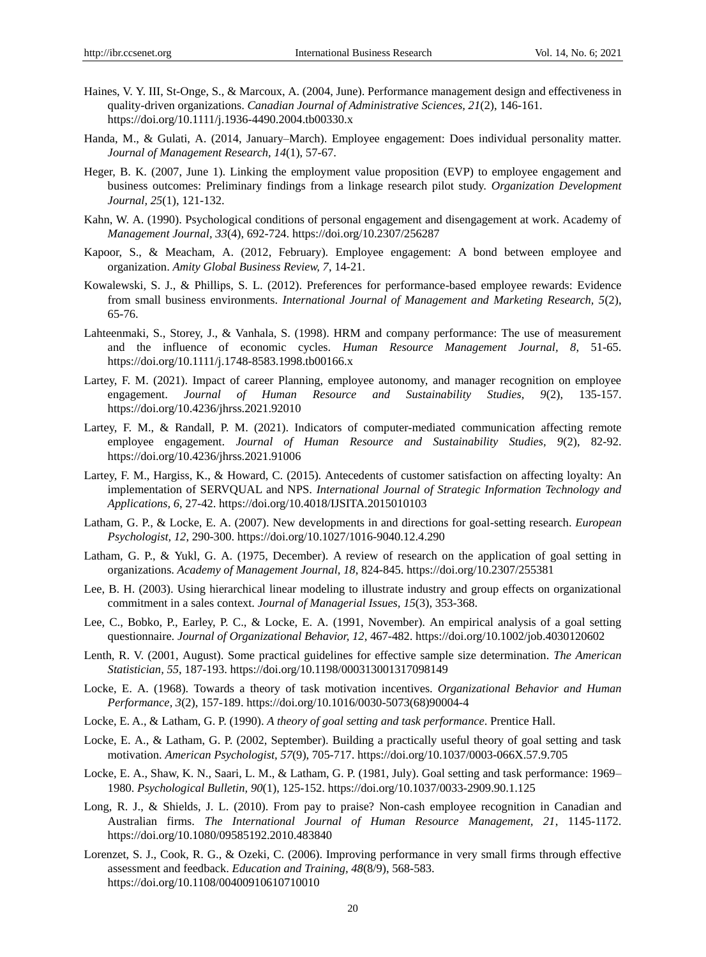- Haines, V. Y. III, St-Onge, S., & Marcoux, A. (2004, June). Performance management design and effectiveness in quality-driven organizations. *Canadian Journal of Administrative Sciences, 21*(2), 146-161. https://doi.org/10.1111/j.1936-4490.2004.tb00330.x
- Handa, M., & Gulati, A. (2014, January–March). Employee engagement: Does individual personality matter. *Journal of Management Research, 14*(1), 57-67.
- Heger, B. K. (2007, June 1). Linking the employment value proposition (EVP) to employee engagement and business outcomes: Preliminary findings from a linkage research pilot study. *Organization Development Journal, 25*(1), 121-132.
- Kahn, W. A. (1990). Psychological conditions of personal engagement and disengagement at work. Academy of *Management Journal, 33*(4), 692-724[. https://doi.org/10.2307/256287](https://doi.org/10.2307/256287)
- Kapoor, S., & Meacham, A. (2012, February). Employee engagement: A bond between employee and organization. *Amity Global Business Review, 7*, 14-21.
- Kowalewski, S. J., & Phillips, S. L. (2012). Preferences for performance-based employee rewards: Evidence from small business environments. *International Journal of Management and Marketing Research, 5*(2), 65-76.
- Lahteenmaki, S., Storey, J., & Vanhala, S. (1998). HRM and company performance: The use of measurement and the influence of economic cycles. *Human Resource Management Journal, 8*, 51-65. <https://doi.org/10.1111/j.1748-8583.1998.tb00166.x>
- Lartey, F. M. (2021). Impact of career Planning, employee autonomy, and manager recognition on employee engagement. *Journal of Human Resource and Sustainability Studies, 9*(2), 135-157. https://doi.org/10.4236/jhrss.2021.92010
- Lartey, F. M., & Randall, P. M. (2021). Indicators of computer-mediated communication affecting remote employee engagement. *Journal of Human Resource and Sustainability Studies, 9*(2), 82-92. <https://doi.org/10.4236/jhrss.2021.91006>
- Lartey, F. M., Hargiss, K., & Howard, C. (2015). Antecedents of customer satisfaction on affecting loyalty: An implementation of SERVQUAL and NPS. *International Journal of Strategic Information Technology and Applications, 6*, 27-42.<https://doi.org/10.4018/IJSITA.2015010103>
- Latham, G. P., & Locke, E. A. (2007). New developments in and directions for goal-setting research. *European Psychologist, 12*, 290-300.<https://doi.org/10.1027/1016-9040.12.4.290>
- Latham, G. P., & Yukl, G. A. (1975, December). A review of research on the application of goal setting in organizations. *Academy of Management Journal, 18*, 824-845.<https://doi.org/10.2307/255381>
- Lee, B. H. (2003). Using hierarchical linear modeling to illustrate industry and group effects on organizational commitment in a sales context. *Journal of Managerial Issues, 15*(3), 353-368.
- Lee, C., Bobko, P., Earley, P. C., & Locke, E. A. (1991, November). An empirical analysis of a goal setting questionnaire. *Journal of Organizational Behavior, 12*, 467-482.<https://doi.org/10.1002/job.4030120602>
- Lenth, R. V. (2001, August). Some practical guidelines for effective sample size determination. *The American Statistician, 55*, 187-193.<https://doi.org/10.1198/000313001317098149>
- Locke, E. A. (1968). Towards a theory of task motivation incentives. *Organizational Behavior and Human Performance, 3*(2), 157-189. [https://doi.org/10.1016/0030-5073\(68\)90004-4](https://doi.org/10.1016/0030-5073(68)90004-4)
- Locke, E. A., & Latham, G. P. (1990). *A theory of goal setting and task performance*. Prentice Hall.
- Locke, E. A., & Latham, G. P. (2002, September). Building a practically useful theory of goal setting and task motivation. *American Psychologist, 57*(9), 705-717[. https://doi.org/10.1037/0003-066X.57.9.705](https://doi.org/10.1037/0003-066X.57.9.705)
- Locke, E. A., Shaw, K. N., Saari, L. M., & Latham, G. P. (1981, July). Goal setting and task performance: 1969– 1980. *Psychological Bulletin, 90*(1), 125-152[. https://doi.org/10.1037/0033-2909.90.1.125](https://doi.org/10.1037/0033-2909.90.1.125)
- Long, R. J., & Shields, J. L. (2010). From pay to praise? Non-cash employee recognition in Canadian and Australian firms. *The International Journal of Human Resource Management, 21*, 1145-1172. <https://doi.org/10.1080/09585192.2010.483840>
- Lorenzet, S. J., Cook, R. G., & Ozeki, C. (2006). Improving performance in very small firms through effective assessment and feedback. *Education and Training, 48*(8/9), 568-583. <https://doi.org/10.1108/00400910610710010>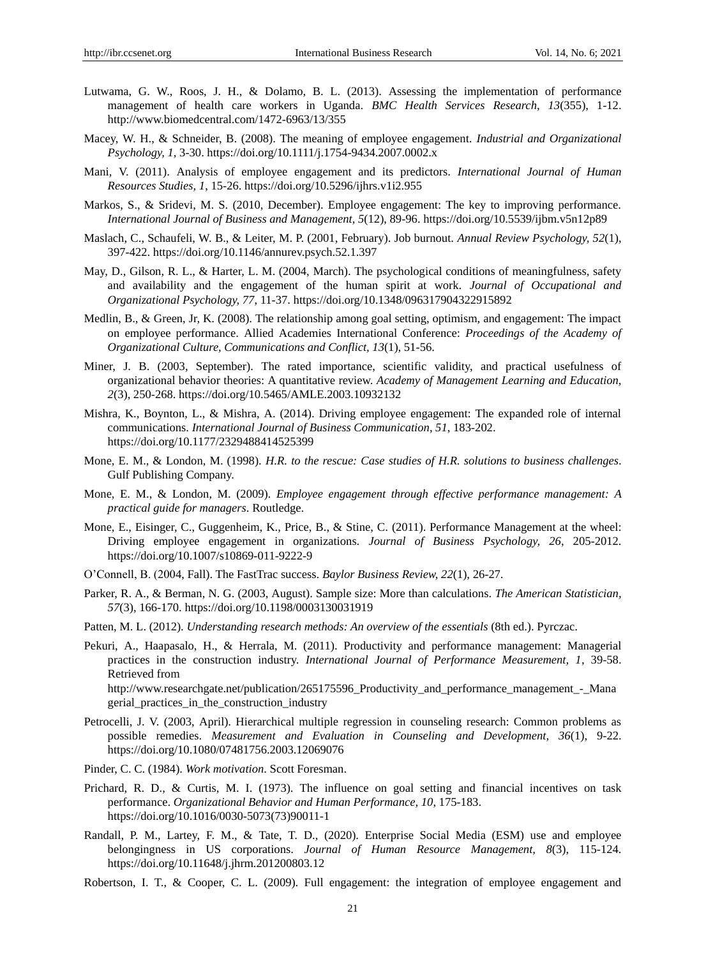- Lutwama, G. W., Roos, J. H., & Dolamo, B. L. (2013). Assessing the implementation of performance management of health care workers in Uganda. *BMC Health Services Research, 13*(355), 1-12. <http://www.biomedcentral.com/1472-6963/13/355>
- Macey, W. H., & Schneider, B. (2008). The meaning of employee engagement. *Industrial and Organizational Psychology, 1*, 3-30. <https://doi.org/10.1111/j.1754-9434.2007.0002.x>
- Mani, V. (2011). Analysis of employee engagement and its predictors. *International Journal of Human Resources Studies, 1*, 15-26.<https://doi.org/10.5296/ijhrs.v1i2.955>
- Markos, S., & Sridevi, M. S. (2010, December). Employee engagement: The key to improving performance. *International Journal of Business and Management, 5*(12), 89-96. https://doi.org/10.5539/ijbm.v5n12p89
- Maslach, C., Schaufeli, W. B., & Leiter, M. P. (2001, February). Job burnout. *Annual Review Psychology, 52*(1), 397-422. https://doi.org/10.1146/annurev.psych.52.1.397
- May, D., Gilson, R. L., & Harter, L. M. (2004, March). The psychological conditions of meaningfulness, safety and availability and the engagement of the human spirit at work. *Journal of Occupational and Organizational Psychology, 77*, 11-37[. https://doi.org/10.1348/096317904322915892](https://doi.org/10.1348/096317904322915892)
- Medlin, B., & Green, Jr, K. (2008). The relationship among goal setting, optimism, and engagement: The impact on employee performance. Allied Academies International Conference: *Proceedings of the Academy of Organizational Culture, Communications and Conflict, 13*(1), 51-56.
- Miner, J. B. (2003, September). The rated importance, scientific validity, and practical usefulness of organizational behavior theories: A quantitative review. *Academy of Management Learning and Education, 2*(3), 250-268.<https://doi.org/10.5465/AMLE.2003.10932132>
- Mishra, K., Boynton, L., & Mishra, A. (2014). Driving employee engagement: The expanded role of internal communications. *International Journal of Business Communication, 51*, 183-202. <https://doi.org/10.1177/2329488414525399>
- Mone, E. M., & London, M. (1998). *H.R. to the rescue: Case studies of H.R. solutions to business challenges*. Gulf Publishing Company.
- Mone, E. M., & London, M. (2009). *Employee engagement through effective performance management: A practical guide for managers*. Routledge.
- Mone, E., Eisinger, C., Guggenheim, K., Price, B., & Stine, C. (2011). Performance Management at the wheel: Driving employee engagement in organizations. *Journal of Business Psychology, 26*, 205-2012. <https://doi.org/10.1007/s10869-011-9222-9>
- O'Connell, B. (2004, Fall). The FastTrac success. *Baylor Business Review, 22*(1), 26-27.
- Parker, R. A., & Berman, N. G. (2003, August). Sample size: More than calculations. *The American Statistician, 57*(3), 166-170.<https://doi.org/10.1198/0003130031919>
- Patten, M. L. (2012). *Understanding research methods: An overview of the essentials* (8th ed.). Pyrczac.
- Pekuri, A., Haapasalo, H., & Herrala, M. (2011). Productivity and performance management: Managerial practices in the construction industry. *International Journal of Performance Measurement, 1*, 39-58. Retrieved from [http://www.researchgate.net/publication/265175596\\_Productivity\\_and\\_performance\\_management\\_-\\_Mana](http://www.researchgate.net/publication/265175596_Productivity_and_performance_management_-_Managerial_practices_in_the_construction_industry) [gerial\\_practices\\_in\\_the\\_construction\\_industry](http://www.researchgate.net/publication/265175596_Productivity_and_performance_management_-_Managerial_practices_in_the_construction_industry)
- Petrocelli, J. V. (2003, April). Hierarchical multiple regression in counseling research: Common problems as possible remedies. *Measurement and Evaluation in Counseling and Development, 36*(1), 9-22. https://doi.org/10.1080/07481756.2003.12069076
- Pinder, C. C. (1984). *Work motivation*. Scott Foresman.
- Prichard, R. D., & Curtis, M. I. (1973). The influence on goal setting and financial incentives on task performance. *Organizational Behavior and Human Performance, 10*, 175-183. [https://doi.org/10.1016/0030-5073\(73\)90011-1](https://doi.org/10.1016/0030-5073(73)90011-1)
- Randall, P. M., Lartey, F. M., & Tate, T. D., (2020). Enterprise Social Media (ESM) use and employee belongingness in US corporations. *Journal of Human Resource Management, 8*(3), 115-124. <https://doi.org/10.11648/j.jhrm.201200803.12>
- Robertson, I. T., & Cooper, C. L. (2009). Full engagement: the integration of employee engagement and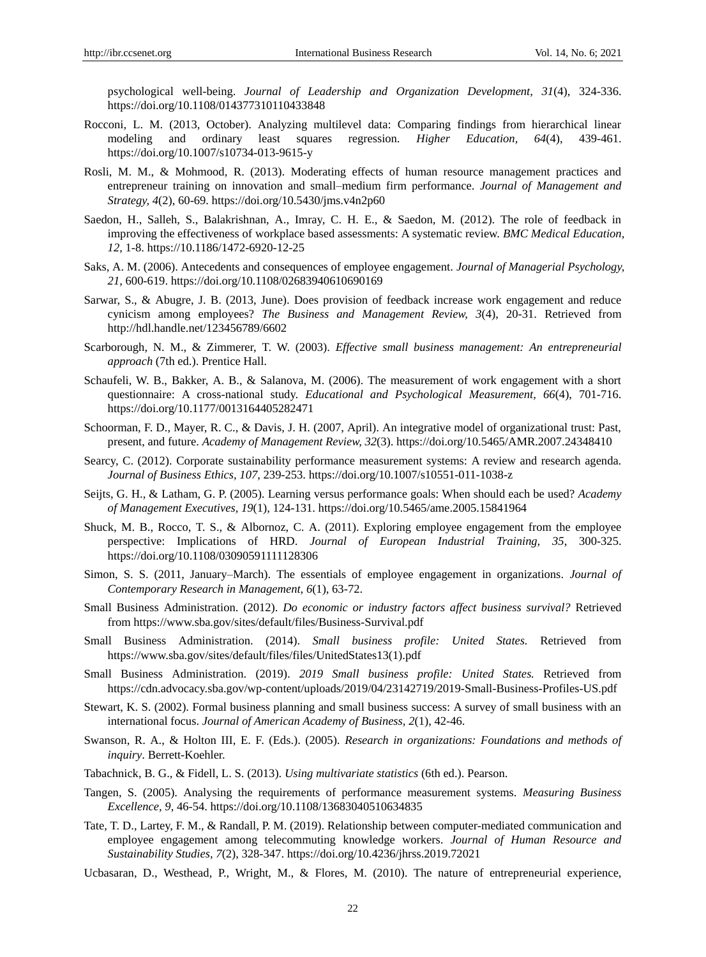psychological well-being. *Journal of Leadership and Organization Development, 31*(4), 324-336. <https://doi.org/10.1108/014377310110433848>

- Rocconi, L. M. (2013, October). Analyzing multilevel data: Comparing findings from hierarchical linear modeling and ordinary least squares regression. *Higher Education, 64*(4), 439-461. <https://doi.org/10.1007/s10734-013-9615-y>
- Rosli, M. M., & Mohmood, R. (2013). Moderating effects of human resource management practices and entrepreneur training on innovation and small–medium firm performance. *Journal of Management and Strategy, 4*(2), 60-69[. https://doi.org/10.5430/jms.v4n2p60](https://doi.org/10.5430/jms.v4n2p60)
- Saedon, H., Salleh, S., Balakrishnan, A., Imray, C. H. E., & Saedon, M. (2012). The role of feedback in improving the effectiveness of workplace based assessments: A systematic review. *BMC Medical Education, 12*, 1-8. [https://10.1186/1472-6920-12-25](https://10.0.4.162/1472-6920-12-25)
- Saks, A. M. (2006). Antecedents and consequences of employee engagement. *Journal of Managerial Psychology, 21*, 600-619.<https://doi.org/10.1108/02683940610690169>
- Sarwar, S., & Abugre, J. B. (2013, June). Does provision of feedback increase work engagement and reduce cynicism among employees? *The Business and Management Review, 3*(4), 20-31. Retrieved from <http://hdl.handle.net/123456789/6602>
- Scarborough, N. M., & Zimmerer, T. W. (2003). *Effective small business management: An entrepreneurial approach* (7th ed.). Prentice Hall.
- Schaufeli, W. B., Bakker, A. B., & Salanova, M. (2006). The measurement of work engagement with a short questionnaire: A cross-national study. *Educational and Psychological Measurement, 66*(4), 701-716. <https://doi.org/10.1177/0013164405282471>
- Schoorman, F. D., Mayer, R. C., & Davis, J. H. (2007, April). An integrative model of organizational trust: Past, present, and future. *Academy of Management Review, 32*(3)[. https://doi.org/10.5465/AMR.2007.24348410](https://doi.org/10.5465/AMR.2007.24348410)
- Searcy, C. (2012). Corporate sustainability performance measurement systems: A review and research agenda. *Journal of Business Ethics, 107*, 239-253. https://doi.org/10.1007/s10551-011-1038-z
- Seijts, G. H., & Latham, G. P. (2005). Learning versus performance goals: When should each be used? *Academy of Management Executives, 19*(1), 124-131. https://doi.org/10.5465/ame.2005.15841964
- Shuck, M. B., Rocco, T. S., & Albornoz, C. A. (2011). Exploring employee engagement from the employee perspective: Implications of HRD. *Journal of European Industrial Training, 35*, 300-325. <https://doi.org/10.1108/03090591111128306>
- Simon, S. S. (2011, January–March). The essentials of employee engagement in organizations. *Journal of Contemporary Research in Management, 6*(1), 63-72.
- Small Business Administration. (2012). *Do economic or industry factors affect business survival?* Retrieved from<https://www.sba.gov/sites/default/files/Business-Survival.pdf>
- Small Business Administration. (2014). *Small business profile: United States.* Retrieved from [https://www.sba.gov/sites/default/files/files/UnitedStates13\(1\).pdf](https://www.sba.gov/sites/default/files/files/UnitedStates13(1).pdf)
- Small Business Administration. (2019). *2019 Small business profile: United States.* Retrieved from <https://cdn.advocacy.sba.gov/wp-content/uploads/2019/04/23142719/2019-Small-Business-Profiles-US.pdf>
- Stewart, K. S. (2002). Formal business planning and small business success: A survey of small business with an international focus. *Journal of American Academy of Business, 2*(1), 42-46.
- Swanson, R. A., & Holton III, E. F. (Eds.). (2005). *Research in organizations: Foundations and methods of inquiry*. Berrett-Koehler.
- Tabachnick, B. G., & Fidell, L. S. (2013). *Using multivariate statistics* (6th ed.). Pearson.
- Tangen, S. (2005). Analysing the requirements of performance measurement systems. *Measuring Business Excellence, 9*, 46-54[. https://doi.org/10.1108/13683040510634835](https://doi.org/10.1108/13683040510634835)
- Tate, T. D., Lartey, F. M., & Randall, P. M. (2019). Relationship between computer-mediated communication and employee engagement among telecommuting knowledge workers. *Journal of Human Resource and Sustainability Studies, 7*(2), 328-347.<https://doi.org/10.4236/jhrss.2019.72021>
- Ucbasaran, D., Westhead, P., Wright, M., & Flores, M. (2010). The nature of entrepreneurial experience,